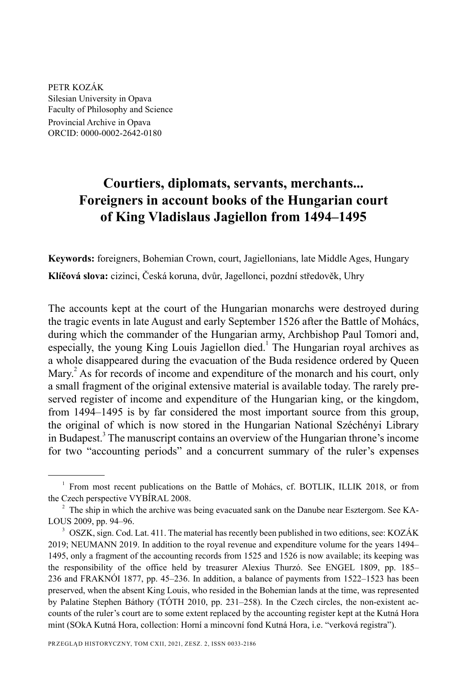PETR KOZÁK Silesian University in Opava Faculty of Philosophy and Science

Provincial Archive in Opava ORCID: 0000-0002-2642-0180

# **Courtiers, diplomats, servants, merchants... Foreigners in account books of the Hungarian court of King Vladislaus Jagiellon from 1494–1495**

**Keywords:** foreigners, Bohemian Crown, court, Jagiellonians, late Middle Ages, Hungary **Klíčová slova:** cizinci, Česká koruna, dvůr, Jagellonci, pozdní středověk, Uhry

The accounts kept at the court of the Hungarian monarchs were destroyed during the tragic events in late August and early September 1526 after the Battle of Mohács, during which the commander of the Hungarian army, Archbishop Paul Tomori and, especially, the young King Louis Jagiellon died.<sup>1</sup> The Hungarian royal archives as a whole disappeared during the evacuation of the Buda residence ordered by Queen Mary.<sup>2</sup> As for records of income and expenditure of the monarch and his court, only a small fragment of the original extensive material is available today. The rarely preserved register of income and expenditure of the Hungarian king, or the kingdom, from 1494–1495 is by far considered the most important source from this group, the original of which is now stored in the Hungarian National Széchényi Library in Budapest.<sup>3</sup> The manuscript contains an overview of the Hungarian throne's income for two "accounting periods" and a concurrent summary of the ruler's expenses

<sup>&</sup>lt;sup>1</sup> From most recent publications on the Battle of Mohács, cf. BOTLIK, ILLIK 2018, or from the Czech perspective VYBÍRAL 2008.

 $2^2$  The ship in which the archive was being evacuated sank on the Danube near Esztergom. See KA-LOUS 2009, pp. 94–96.

<sup>&</sup>lt;sup>3</sup> OSZK, sign. Cod. Lat. 411. The material has recently been published in two editions, see: KOZÁK 2019; NEUMANN 2019. In addition to the royal revenue and expenditure volume for the years 1494– 1495, only a fragment of the accounting records from 1525 and 1526 is now available; its keeping was the responsibility of the office held by treasurer Alexius Thurzó. See ENGEL 1809, pp. 185– 236 and FRAKNÓI 1877, pp. 45–236. In addition, a balance of payments from 1522–1523 has been preserved, when the absent King Louis, who resided in the Bohemian lands at the time, was represented by Palatine Stephen Báthory (TÓTH 2010, pp. 231–258). In the Czech circles, the non-existent accounts of the ruler's court are to some extent replaced by the accounting register kept at the Kutná Hora mint (SOkA Kutná Hora, collection: Horní a mincovní fond Kutná Hora, i.e. "verková registra").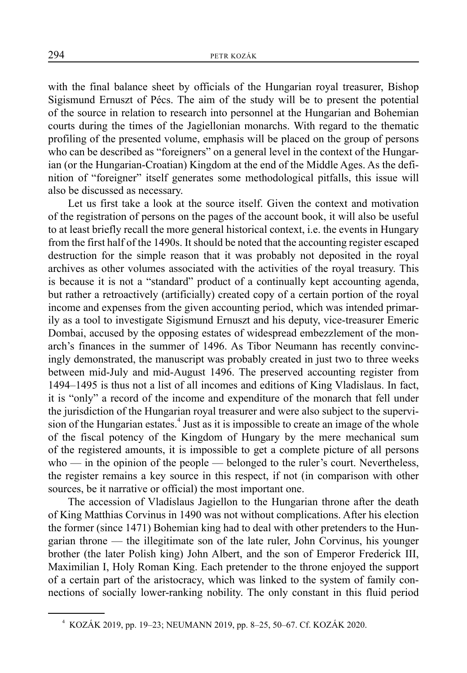with the final balance sheet by officials of the Hungarian royal treasurer, Bishop Sigismund Ernuszt of Pécs. The aim of the study will be to present the potential of the source in relation to research into personnel at the Hungarian and Bohemian courts during the times of the Jagiellonian monarchs. With regard to the thematic profiling of the presented volume, emphasis will be placed on the group of persons who can be described as "foreigners" on a general level in the context of the Hungarian (or the Hungarian-Croatian) Kingdom at the end of the Middle Ages. As the definition of "foreigner" itself generates some methodological pitfalls, this issue will also be discussed as necessary.

Let us first take a look at the source itself. Given the context and motivation of the registration of persons on the pages of the account book, it will also be useful to at least briefly recall the more general historical context, i.e. the events in Hungary from the first half of the 1490s. It should be noted that the accounting register escaped destruction for the simple reason that it was probably not deposited in the royal archives as other volumes associated with the activities of the royal treasury. This is because it is not a "standard" product of a continually kept accounting agenda, but rather a retroactively (artificially) created copy of a certain portion of the royal income and expenses from the given accounting period, which was intended primarily as a tool to investigate Sigismund Ernuszt and his deputy, vice-treasurer Emeric Dombai, accused by the opposing estates of widespread embezzlement of the monarch's finances in the summer of 1496. As Tibor Neumann has recently convincingly demonstrated, the manuscript was probably created in just two to three weeks between mid-July and mid-August 1496. The preserved accounting register from 1494–1495 is thus not a list of all incomes and editions of King Vladislaus. In fact, it is "only" a record of the income and expenditure of the monarch that fell under the jurisdiction of the Hungarian royal treasurer and were also subject to the supervision of the Hungarian estates.<sup>4</sup> Just as it is impossible to create an image of the whole of the fiscal potency of the Kingdom of Hungary by the mere mechanical sum of the registered amounts, it is impossible to get a complete picture of all persons who — in the opinion of the people — belonged to the ruler's court. Nevertheless, the register remains a key source in this respect, if not (in comparison with other sources, be it narrative or official) the most important one.

The accession of Vladislaus Jagiellon to the Hungarian throne after the death of King Matthias Corvinus in 1490 was not without complications. After his election the former (since 1471) Bohemian king had to deal with other pretenders to the Hungarian throne — the illegitimate son of the late ruler, John Corvinus, his younger brother (the later Polish king) John Albert, and the son of Emperor Frederick III, Maximilian I, Holy Roman King. Each pretender to the throne enjoyed the support of a certain part of the aristocracy, which was linked to the system of family connections of socially lower-ranking nobility. The only constant in this fluid period

<sup>4</sup> KOZÁK 2019, pp. 19–23; NEUMANN 2019, pp. 8–25, 50–67. Cf. KOZÁK 2020.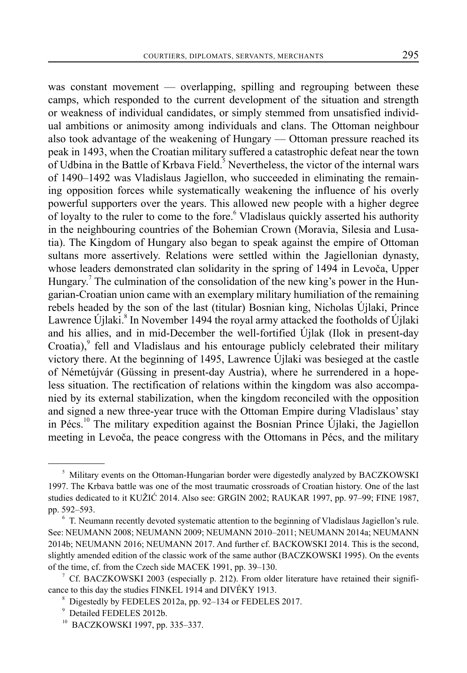was constant movement — overlapping, spilling and regrouping between these camps, which responded to the current development of the situation and strength or weakness of individual candidates, or simply stemmed from unsatisfied individual ambitions or animosity among individuals and clans. The Ottoman neighbour also took advantage of the weakening of Hungary — Ottoman pressure reached its peak in 1493, when the Croatian military suffered a catastrophic defeat near the town of Udbina in the Battle of Krbava Field.<sup>5</sup> Nevertheless, the victor of the internal wars of 1490–1492 was Vladislaus Jagiellon, who succeeded in eliminating the remaining opposition forces while systematically weakening the influence of his overly powerful supporters over the years. This allowed new people with a higher degree of loyalty to the ruler to come to the fore.<sup>6</sup> Vladislaus quickly asserted his authority in the neighbouring countries of the Bohemian Crown (Moravia, Silesia and Lusatia). The Kingdom of Hungary also began to speak against the empire of Ottoman sultans more assertively. Relations were settled within the Jagiellonian dynasty, whose leaders demonstrated clan solidarity in the spring of 1494 in Levoča, Upper Hungary.<sup>7</sup> The culmination of the consolidation of the new king's power in the Hungarian-Croatian union came with an exemplary military humiliation of the remaining rebels headed by the son of the last (titular) Bosnian king, Nicholas Újlaki, Prince Lawrence Újlaki.<sup>8</sup> In November 1494 the royal army attacked the footholds of Újlaki and his allies, and in mid-December the well-fortified Újlak (Ilok in present-day Croatia), $9$  fell and Vladislaus and his entourage publicly celebrated their military victory there. At the beginning of 1495, Lawrence Újlaki was besieged at the castle of Németújvár (Güssing in present-day Austria), where he surrendered in a hopeless situation. The rectification of relations within the kingdom was also accompanied by its external stabilization, when the kingdom reconciled with the opposition and signed a new three-year truce with the Ottoman Empire during Vladislaus' stay in Pécs.<sup>10</sup> The military expedition against the Bosnian Prince Újlaki, the Jagiellon meeting in Levoča, the peace congress with the Ottomans in Pécs, and the military

<sup>&</sup>lt;sup>5</sup> Military events on the Ottoman-Hungarian border were digestedly analyzed by BACZKOWSKI 1997. The Krbava battle was one of the most traumatic crossroads of Croatian history. One of the last studies dedicated to it KUŽIĆ 2014. Also see: GRGIN 2002; RAUKAR 1997, pp. 97–99; FINE 1987, pp. 592–593.

<sup>&</sup>lt;sup>6</sup> T. Neumann recently devoted systematic attention to the beginning of Vladislaus Jagiellon's rule. See: NEUMANN 2008; NEUMANN 2009; NEUMANN 2010–2011; NEUMANN 2014a; NEUMANN 2014b; NEUMANN 2016; NEUMANN 2017. And further cf. BACKOWSKI 2014. This is the second, slightly amended edition of the classic work of the same author (BACZKOWSKI 1995). On the events of the time, cf. from the Czech side MACEK 1991, pp. 39–130.

 $7$  Cf. BACZKOWSKI 2003 (especially p. 212). From older literature have retained their significance to this day the studies FINKEL 1914 and DIVÉKY 1913.

<sup>8</sup> Digestedly by FEDELES 2012a, pp. 92–134 or FEDELES 2017.

<sup>9</sup> Detailed FEDELES 2012b.

<sup>10</sup> BACZKOWSKI 1997, pp. 335–337.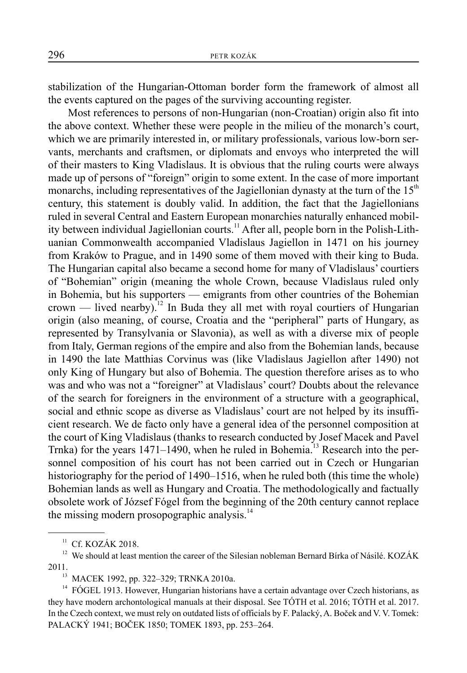stabilization of the Hungarian-Ottoman border form the framework of almost all the events captured on the pages of the surviving accounting register.

Most references to persons of non-Hungarian (non-Croatian) origin also fit into the above context. Whether these were people in the milieu of the monarch's court, which we are primarily interested in, or military professionals, various low-born servants, merchants and craftsmen, or diplomats and envoys who interpreted the will of their masters to King Vladislaus. It is obvious that the ruling courts were always made up of persons of "foreign" origin to some extent. In the case of more important monarchs, including representatives of the Jagiellonian dynasty at the turn of the  $15<sup>th</sup>$ century, this statement is doubly valid. In addition, the fact that the Jagiellonians ruled in several Central and Eastern European monarchies naturally enhanced mobility between individual Jagiellonian courts.<sup>11</sup> After all, people born in the Polish-Lithuanian Commonwealth accompanied Vladislaus Jagiellon in 1471 on his journey from Kraków to Prague, and in 1490 some of them moved with their king to Buda. The Hungarian capital also became a second home for many of Vladislaus' courtiers of "Bohemian" origin (meaning the whole Crown, because Vladislaus ruled only in Bohemia, but his supporters — emigrants from other countries of the Bohemian crown — lived nearby).<sup>12</sup> In Buda they all met with royal courtiers of Hungarian origin (also meaning, of course, Croatia and the "peripheral" parts of Hungary, as represented by Transylvania or Slavonia), as well as with a diverse mix of people from Italy, German regions of the empire and also from the Bohemian lands, because in 1490 the late Matthias Corvinus was (like Vladislaus Jagiellon after 1490) not only King of Hungary but also of Bohemia. The question therefore arises as to who was and who was not a "foreigner" at Vladislaus' court? Doubts about the relevance of the search for foreigners in the environment of a structure with a geographical, social and ethnic scope as diverse as Vladislaus' court are not helped by its insufficient research. We de facto only have a general idea of the personnel composition at the court of King Vladislaus (thanks to research conducted by Josef Macek and Pavel Trnka) for the years  $1471-1490$ , when he ruled in Bohemia.<sup>13</sup> Research into the personnel composition of his court has not been carried out in Czech or Hungarian historiography for the period of 1490–1516, when he ruled both (this time the whole) Bohemian lands as well as Hungary and Croatia. The methodologically and factually obsolete work of József Fógel from the beginning of the 20th century cannot replace the missing modern prosopographic analysis. $14$ 

 $11$  Cf. KOZÁK 2018.

<sup>&</sup>lt;sup>12</sup> We should at least mention the career of the Silesian nobleman Bernard Bírka of Násilé. KOZÁK 2011.

<sup>&</sup>lt;sup>13</sup> MACEK 1992, pp. 322–329; TRNKA 2010a.<br><sup>14</sup> FÓGEL 1913. However Hungarian historians

<sup>14</sup> FÓGEL 1913. However, Hungarian historians have a certain advantage over Czech historians, as they have modern archontological manuals at their disposal. See TÓTH et al. 2016; TÓTH et al. 2017. In the Czech context, we must rely on outdated lists of officials by F. Palacký, A. Boček and V. V. Tomek: PALACKÝ 1941; BOČEK 1850; TOMEK 1893, pp. 253–264.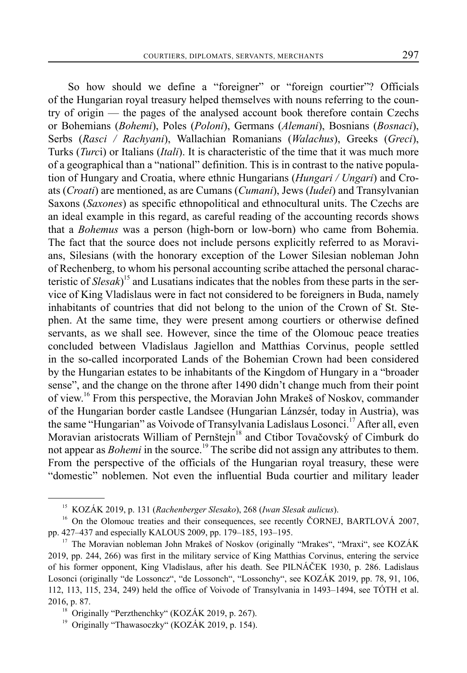So how should we define a "foreigner" or "foreign courtier"? Officials of the Hungarian royal treasury helped themselves with nouns referring to the country of origin — the pages of the analysed account book therefore contain Czechs or Bohemians (*Bohemi*), Poles (*Poloni*), Germans (*Alemani*), Bosnians (*Bosnaci*), Serbs (*Rasci / Rachyani*), Wallachian Romanians (*Walachus*), Greeks (*Greci*), Turks (*Turc*i) or Italians (*Itali*). It is characteristic of the time that it was much more of a geographical than a "national" definition. This is in contrast to the native population of Hungary and Croatia, where ethnic Hungarians (*Hungari / Ungari*) and Croats (*Croati*) are mentioned, as are Cumans (*Cumani*), Jews (*Iudei*) and Transylvanian Saxons (*Saxones*) as specific ethnopolitical and ethnocultural units. The Czechs are an ideal example in this regard, as careful reading of the accounting records shows that a *Bohemus* was a person (high-born or low-born) who came from Bohemia. The fact that the source does not include persons explicitly referred to as Moravians, Silesians (with the honorary exception of the Lower Silesian nobleman John of Rechenberg, to whom his personal accounting scribe attached the personal characteristic of *Slesak*) 15 and Lusatians indicates that the nobles from these parts in the service of King Vladislaus were in fact not considered to be foreigners in Buda, namely inhabitants of countries that did not belong to the union of the Crown of St. Stephen. At the same time, they were present among courtiers or otherwise defined servants, as we shall see. However, since the time of the Olomouc peace treaties concluded between Vladislaus Jagiellon and Matthias Corvinus, people settled in the so-called incorporated Lands of the Bohemian Crown had been considered by the Hungarian estates to be inhabitants of the Kingdom of Hungary in a "broader sense", and the change on the throne after 1490 didn't change much from their point of view.16 From this perspective, the Moravian John Mrakeš of Noskov, commander of the Hungarian border castle Landsee (Hungarian Lánzsér, today in Austria), was the same "Hungarian" as Voivode of Transylvania Ladislaus Losonci.<sup>17</sup> After all, even Moravian aristocrats William of Pernštejn<sup>18</sup> and Ctibor Tovačovský of Cimburk do not appear as *Bohemi* in the source.<sup>19</sup> The scribe did not assign any attributes to them. From the perspective of the officials of the Hungarian royal treasury, these were "domestic" noblemen. Not even the influential Buda courtier and military leader

<sup>15</sup> KOZÁK 2019, p. 131 (*Rachenberger Slesako*), 268 (*Iwan Slesak aulicus*).

<sup>&</sup>lt;sup>16</sup> On the Olomouc treaties and their consequences, see recently ČORNEJ, BARTLOVÁ 2007, pp. 427–437 and especially KALOUS 2009, pp. 179–185, 193–195.

<sup>&</sup>lt;sup>17</sup> The Moravian nobleman John Mrakeš of Noskov (originally "Mrakes", "Mraxi", see KOZÁK 2019, pp. 244, 266) was first in the military service of King Matthias Corvinus, entering the service of his former opponent, King Vladislaus, after his death. See PILNÁČEK 1930, p. 286. Ladislaus Losonci (originally "de Lossoncz", "de Lossonch", "Lossonchy", see KOZÁK 2019, pp. 78, 91, 106, 112, 113, 115, 234, 249) held the office of Voivode of Transylvania in 1493–1494, see TÓTH et al. 2016, p. 87.

<sup>&</sup>lt;sup>18</sup> Originally "Perzthenchky" (KOZÁK 2019, p. 267).

<sup>&</sup>lt;sup>19</sup> Originally "Thawasoczky" (KOZÁK 2019, p. 154).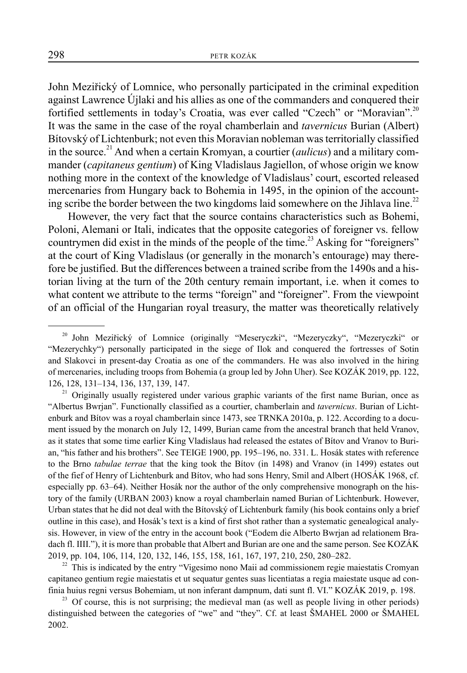John Meziřický of Lomnice, who personally participated in the criminal expedition against Lawrence Újlaki and his allies as one of the commanders and conquered their fortified settlements in today's Croatia, was ever called "Czech" or "Moravian".<sup>20</sup> It was the same in the case of the royal chamberlain and *tavernicus* Burian (Albert) Bítovský of Lichtenburk; not even this Moravian nobleman was territorially classified in the source.<sup>21</sup> And when a certain Kromyan, a courtier *(aulicus)* and a military commander (*capitaneus gentium*) of King Vladislaus Jagiellon, of whose origin we know nothing more in the context of the knowledge of Vladislaus' court, escorted released mercenaries from Hungary back to Bohemia in 1495, in the opinion of the accounting scribe the border between the two kingdoms laid somewhere on the Jihlava line.<sup>22</sup>

However, the very fact that the source contains characteristics such as Bohemi, Poloni, Alemani or Itali, indicates that the opposite categories of foreigner vs. fellow countrymen did exist in the minds of the people of the time.<sup>23</sup> Asking for "foreigners" at the court of King Vladislaus (or generally in the monarch's entourage) may therefore be justified. But the differences between a trained scribe from the 1490s and a historian living at the turn of the 20th century remain important, i.e. when it comes to what content we attribute to the terms "foreign" and "foreigner". From the viewpoint of an official of the Hungarian royal treasury, the matter was theoretically relatively

21 Originally usually registered under various graphic variants of the first name Burian, once as "Albertus Bwrjan". Functionally classified as a courtier, chamberlain and *tavernicus*. Burian of Lichtenburk and Bítov was a royal chamberlain since 1473, see TRNKA 2010a, p. 122. According to a document issued by the monarch on July 12, 1499, Burian came from the ancestral branch that held Vranov, as it states that some time earlier King Vladislaus had released the estates of Bítov and Vranov to Burian, "his father and his brothers". See TEIGE 1900, pp. 195–196, no. 331. L. Hosák states with reference to the Brno *tabulae terrae* that the king took the Bítov (in 1498) and Vranov (in 1499) estates out of the fief of Henry of Lichtenburk and Bítov, who had sons Henry, Smil and Albert (HOSÁK 1968, cf. especially pp. 63–64). Neither Hosák nor the author of the only comprehensive monograph on the history of the family (URBAN 2003) know a royal chamberlain named Burian of Lichtenburk. However, Urban states that he did not deal with the Bítovský of Lichtenburk family (his book contains only a brief outline in this case), and Hosák's text is a kind of first shot rather than a systematic genealogical analysis. However, in view of the entry in the account book ("Eodem die Alberto Bwrjan ad relationem Bradach fl. IIII."), it is more than probable that Albert and Burian are one and the same person. See KOZÁK 2019, pp. 104, 106, 114, 120, 132, 146, 155, 158, 161, 167, 197, 210, 250, 280–282.

 $22$  This is indicated by the entry "Vigesimo nono Maii ad commissionem regie maiestatis Cromyan capitaneo gentium regie maiestatis et ut sequatur gentes suas licentiatas a regia maiestate usque ad confinia huius regni versus Bohemiam, ut non inferant dampnum, dati sunt fl. VI." KOZÁK 2019, p. 198.

 $23$  Of course, this is not surprising; the medieval man (as well as people living in other periods) distinguished between the categories of "we" and "they". Cf. at least ŠMAHEL 2000 or ŠMAHEL 2002.

<sup>20</sup> John Meziřický of Lomnice (originally "Meseryczki", "Mezeryczky", "Mezeryczki" or "Mezerychky") personally participated in the siege of Ilok and conquered the fortresses of Sotin and Slakovci in present-day Croatia as one of the commanders. He was also involved in the hiring of mercenaries, including troops from Bohemia (a group led by John Uher). See KOZÁK 2019, pp. 122, 126, 128, 131–134, 136, 137, 139, 147.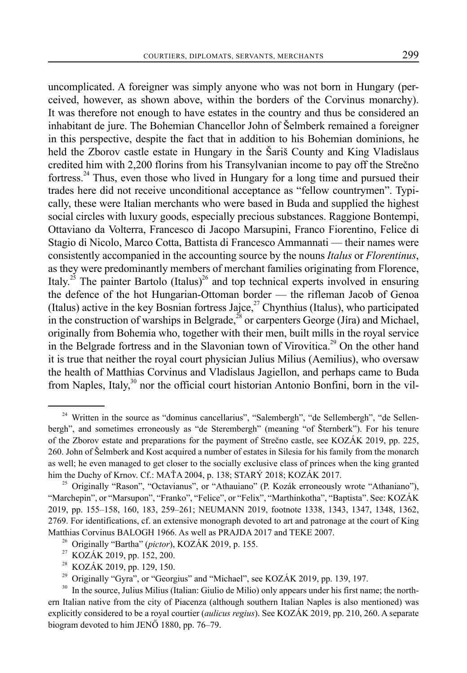uncomplicated. A foreigner was simply anyone who was not born in Hungary (perceived, however, as shown above, within the borders of the Corvinus monarchy). It was therefore not enough to have estates in the country and thus be considered an inhabitant de jure. The Bohemian Chancellor John of Šelmberk remained a foreigner in this perspective, despite the fact that in addition to his Bohemian dominions, he held the Zborov castle estate in Hungary in the Šariš County and King Vladislaus credited him with 2,200 florins from his Transylvanian income to pay off the Strečno fortress.24 Thus, even those who lived in Hungary for a long time and pursued their trades here did not receive unconditional acceptance as "fellow countrymen". Typically, these were Italian merchants who were based in Buda and supplied the highest social circles with luxury goods, especially precious substances. Raggione Bontempi, Ottaviano da Volterra, Francesco di Jacopo Marsupini, Franco Fiorentino, Felice di Stagio di Nicolo, Marco Cotta, Battista di Francesco Ammannati — their names were consistently accompanied in the accounting source by the nouns *Italus* or *Florentinus*, as they were predominantly members of merchant families originating from Florence, Italy.<sup>25</sup> The painter Bartolo (Italus)<sup>26</sup> and top technical experts involved in ensuring the defence of the hot Hungarian-Ottoman border — the rifleman Jacob of Genoa (Italus) active in the key Bosnian fortress Jajce,<sup>27</sup> Chynthius (Italus), who participated in the construction of warships in Belgrade,<sup>28</sup> or carpenters George (Jira) and Michael, originally from Bohemia who, together with their men, built mills in the royal service in the Belgrade fortress and in the Slavonian town of Virovitica.<sup>29</sup> On the other hand it is true that neither the royal court physician Julius Milius (Aemilius), who oversaw the health of Matthias Corvinus and Vladislaus Jagiellon, and perhaps came to Buda from Naples, Italy, $30$  nor the official court historian Antonio Bonfini, born in the vil-

<sup>&</sup>lt;sup>24</sup> Written in the source as "dominus cancellarius", "Salembergh", "de Sellembergh", "de Sellenbergh", and sometimes erroneously as "de Sterembergh" (meaning "of Šternberk"). For his tenure of the Zborov estate and preparations for the payment of Strečno castle, see KOZÁK 2019, pp. 225, 260. John of Šelmberk and Kost acquired a number of estates in Silesia for his family from the monarch as well; he even managed to get closer to the socially exclusive class of princes when the king granted him the Duchy of Krnov. Cf.: MAŤA 2004, p. 138; STARÝ 2018; KOZÁK 2017.

<sup>&</sup>lt;sup>25</sup> Originally "Rason", "Octavianus", or "Athauiano" (P. Kozák erroneously wrote "Athaniano"), "Marchepin", or "Marsupon", "Franko", "Felice", or "Felix", "Marthinkotha", "Baptista". See: KOZÁK 2019, pp. 155–158, 160, 183, 259–261; NEUMANN 2019, footnote 1338, 1343, 1347, 1348, 1362, 2769. For identifications, cf. an extensive monograph devoted to art and patronage at the court of King Matthias Corvinus BALOGH 1966. As well as PRAJDA 2017 and TEKE 2007.

<sup>26</sup> Originally "Bartha" (*pictor*), KOZÁK 2019, p. 155.

<sup>&</sup>lt;sup>27</sup> KOZÁK 2019, pp. 152, 200.<br><sup>28</sup> KOZÁK 2019, pp. 129, 150.

<sup>28</sup> KOZÁK 2019, pp. 129, 150.

<sup>29</sup> Originally "Gyra", or "Georgius" and "Michael", see KOZÁK 2019, pp. 139, 197.

<sup>&</sup>lt;sup>30</sup> In the source, Julius Milius (Italian: Giulio de Milio) only appears under his first name; the northern Italian native from the city of Piacenza (although southern Italian Naples is also mentioned) was explicitly considered to be a royal courtier (*aulicus regius*). See KOZÁK 2019, pp. 210, 260. A separate biogram devoted to him JENŐ 1880, pp. 76–79.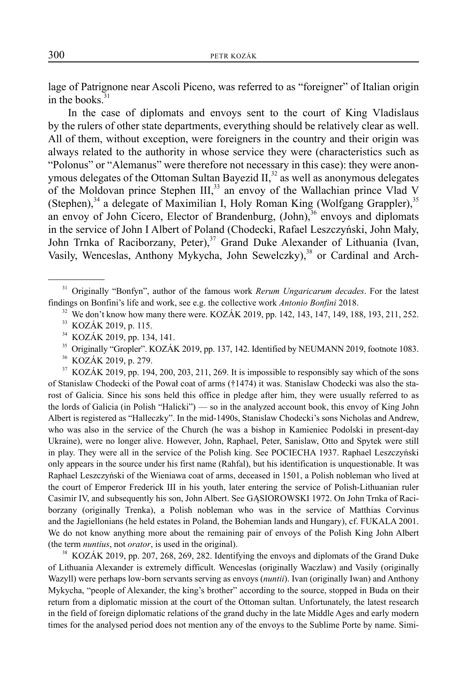lage of Patrignone near Ascoli Piceno, was referred to as "foreigner" of Italian origin in the books. $31$ 

In the case of diplomats and envoys sent to the court of King Vladislaus by the rulers of other state departments, everything should be relatively clear as well. All of them, without exception, were foreigners in the country and their origin was always related to the authority in whose service they were (characteristics such as "Polonus" or "Alemanus" were therefore not necessary in this case): they were anonymous delegates of the Ottoman Sultan Bayezid  $II$ <sup>32</sup>, as well as anonymous delegates of the Moldovan prince Stephen III,<sup>33</sup> an envoy of the Wallachian prince Vlad V (Stephen), $34$  a delegate of Maximilian I, Holy Roman King (Wolfgang Grappler), $35$ an envoy of John Cicero, Elector of Brandenburg, (John),<sup>36</sup> envoys and diplomats in the service of John I Albert of Poland (Chodecki, Rafael Leszczyński, John Mały, John Trnka of Raciborzany, Peter),<sup>37</sup> Grand Duke Alexander of Lithuania (Ivan, Vasily, Wenceslas, Anthony Mykycha, John Sewelczky),<sup>38</sup> or Cardinal and Arch-

<sup>32</sup> We don't know how many there were. KOZÁK 2019, pp. 142, 143, 147, 149, 188, 193, 211, 252.

<sup>35</sup> Originally "Gropler". KOZÁK 2019, pp. 137, 142. Identified by NEUMANN 2019, footnote 1083.<br><sup>36</sup> KOZÁK 2019 n 279

36 KOZÁK 2019, p. 279.

<sup>37</sup> KOZÁK 2019, pp. 194, 200, 203, 211, 269. It is impossible to responsibly say which of the sons of Stanislaw Chodecki of the Pował coat of arms (†1474) it was. Stanislaw Chodecki was also the starost of Galicia. Since his sons held this office in pledge after him, they were usually referred to as the lords of Galicia (in Polish "Halicki") — so in the analyzed account book, this envoy of King John Albert is registered as "Halleczky". In the mid-1490s, Stanislaw Chodecki's sons Nicholas and Andrew, who was also in the service of the Church (he was a bishop in Kamieniec Podolski in present-day Ukraine), were no longer alive. However, John, Raphael, Peter, Sanislaw, Otto and Spytek were still in play. They were all in the service of the Polish king. See POCIECHA 1937. Raphael Leszczyński only appears in the source under his first name (Rahfal), but his identification is unquestionable. It was Raphael Leszczyński of the Wieniawa coat of arms, deceased in 1501, a Polish nobleman who lived at the court of Emperor Frederick III in his youth, later entering the service of Polish-Lithuanian ruler Casimir IV, and subsequently his son, John Albert. See GĄSIOROWSKI 1972. On John Trnka of Raciborzany (originally Trenka), a Polish nobleman who was in the service of Matthias Corvinus and the Jagiellonians (he held estates in Poland, the Bohemian lands and Hungary), cf. FUKALA 2001. We do not know anything more about the remaining pair of envoys of the Polish King John Albert (the term *nuntius*, not *orator*, is used in the original).

38 KOZÁK 2019, pp. 207, 268, 269, 282. Identifying the envoys and diplomats of the Grand Duke of Lithuania Alexander is extremely difficult. Wenceslas (originally Waczlaw) and Vasily (originally Wazyll) were perhaps low-born servants serving as envoys (*nuntii*). Ivan (originally Iwan) and Anthony Mykycha, "people of Alexander, the king's brother" according to the source, stopped in Buda on their return from a diplomatic mission at the court of the Ottoman sultan. Unfortunately, the latest research in the field of foreign diplomatic relations of the grand duchy in the late Middle Ages and early modern times for the analysed period does not mention any of the envoys to the Sublime Porte by name. Simi-

<sup>31</sup> Originally "Bonfyn", author of the famous work *Rerum Ungaricarum decades*. For the latest findings on Bonfini's life and work, see e.g. the collective work *Antonio Bonfini* 2018.

<sup>33</sup> KOZÁK 2019, p. 115.

<sup>34</sup> KOZÁK 2019, pp. 134, 141.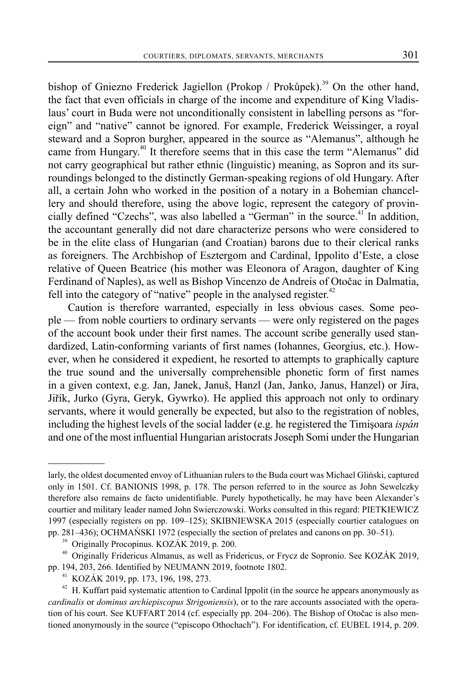bishop of Gniezno Frederick Jagiellon (Prokop / Prokůpek).<sup>39</sup> On the other hand, the fact that even officials in charge of the income and expenditure of King Vladislaus' court in Buda were not unconditionally consistent in labelling persons as "foreign" and "native" cannot be ignored. For example, Frederick Weissinger, a royal steward and a Sopron burgher, appeared in the source as "Alemanus", although he came from Hungary.<sup>40</sup> It therefore seems that in this case the term "Alemanus" did not carry geographical but rather ethnic (linguistic) meaning, as Sopron and its surroundings belonged to the distinctly German-speaking regions of old Hungary. After all, a certain John who worked in the position of a notary in a Bohemian chancellery and should therefore, using the above logic, represent the category of provincially defined "Czechs", was also labelled a "German" in the source.<sup>41</sup> In addition. the accountant generally did not dare characterize persons who were considered to be in the elite class of Hungarian (and Croatian) barons due to their clerical ranks as foreigners. The Archbishop of Esztergom and Cardinal, Ippolito d'Este, a close relative of Queen Beatrice (his mother was Eleonora of Aragon, daughter of King Ferdinand of Naples), as well as Bishop Vincenzo de Andreis of Otočac in Dalmatia, fell into the category of "native" people in the analysed register. $42$ 

Caution is therefore warranted, especially in less obvious cases. Some people — from noble courtiers to ordinary servants — were only registered on the pages of the account book under their first names. The account scribe generally used standardized, Latin-conforming variants of first names (Iohannes, Georgius, etc.). However, when he considered it expedient, he resorted to attempts to graphically capture the true sound and the universally comprehensible phonetic form of first names in a given context, e.g. Jan, Janek, Januš, Hanzl (Jan, Janko, Janus, Hanzel) or Jíra, Jiřík, Jurko (Gyra, Geryk, Gywrko). He applied this approach not only to ordinary servants, where it would generally be expected, but also to the registration of nobles, including the highest levels of the social ladder (e.g. he registered the Timişoara *ispán* and one of the most influential Hungarian aristocrats Joseph Somi under the Hungarian

larly, the oldest documented envoy of Lithuanian rulers to the Buda court was Michael Gliński, captured only in 1501. Cf. BANIONIS 1998, p. 178. The person referred to in the source as John Sewelczky therefore also remains de facto unidentifiable. Purely hypothetically, he may have been Alexander's courtier and military leader named John Swierczowski. Works consulted in this regard: PIETKIEWICZ 1997 (especially registers on pp. 109–125); SKIBNIEWSKA 2015 (especially courtier catalogues on pp. 281–436); OCHMAŃSKI 1972 (especially the section of prelates and canons on pp. 30–51).

<sup>&</sup>lt;sup>39</sup> Originally Procopinus. KOZÁK 2019, p. 200.

<sup>&</sup>lt;sup>40</sup> Originally Fridericus Almanus, as well as Fridericus, or Frycz de Sopronio. See KOZÁK 2019, pp. 194, 203, 266. Identified by NEUMANN 2019, footnote 1802.

<sup>&</sup>lt;sup>41</sup> KOZÁK 2019, pp. 173, 196, 198, 273.<br><sup>42</sup> H Kuffart paid systematic attention to

H. Kuffart paid systematic attention to Cardinal Ippolit (in the source he appears anonymously as *cardinalis* or *dominus archiepiscopus Strigoniensis*), or to the rare accounts associated with the operation of his court. See KUFFART 2014 (cf. especially pp. 204–206). The Bishop of Otočac is also mentioned anonymously in the source ("episcopo Othochach"). For identification, cf. EUBEL 1914, p. 209.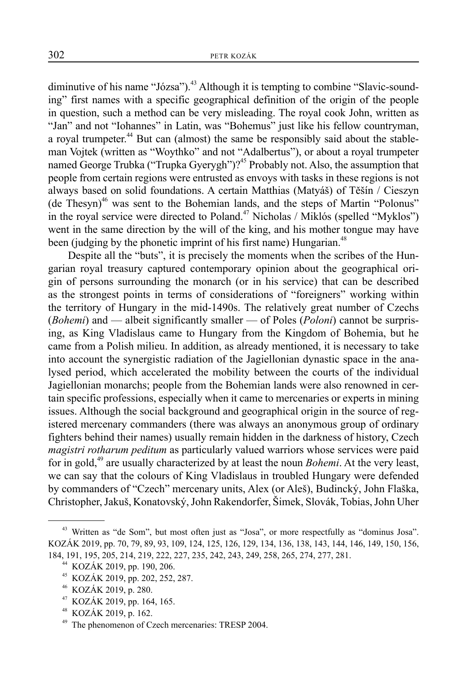diminutive of his name "Józsa"). $43$  Although it is tempting to combine "Slavic-sounding" first names with a specific geographical definition of the origin of the people in question, such a method can be very misleading. The royal cook John, written as "Jan" and not "Iohannes" in Latin, was "Bohemus" just like his fellow countryman, a royal trumpeter.<sup>44</sup> But can (almost) the same be responsibly said about the stableman Vojtek (written as "Woythko" and not "Adalbertus"), or about a royal trumpeter named George Trubka ("Trupka Gyerygh")?<sup>45</sup> Probably not. Also, the assumption that people from certain regions were entrusted as envoys with tasks in these regions is not always based on solid foundations. A certain Matthias (Matyáš) of Těšín / Cieszyn (de Thesyn)<sup>46</sup> was sent to the Bohemian lands, and the steps of Martin "Polonus" in the royal service were directed to Poland.<sup>47</sup> Nicholas / Miklós (spelled "Myklos") went in the same direction by the will of the king, and his mother tongue may have been (judging by the phonetic imprint of his first name) Hungarian.<sup>48</sup>

Despite all the "buts", it is precisely the moments when the scribes of the Hungarian royal treasury captured contemporary opinion about the geographical origin of persons surrounding the monarch (or in his service) that can be described as the strongest points in terms of considerations of "foreigners" working within the territory of Hungary in the mid-1490s. The relatively great number of Czechs (*Bohemi*) and — albeit significantly smaller — of Poles (*Poloni*) cannot be surprising, as King Vladislaus came to Hungary from the Kingdom of Bohemia, but he came from a Polish milieu. In addition, as already mentioned, it is necessary to take into account the synergistic radiation of the Jagiellonian dynastic space in the analysed period, which accelerated the mobility between the courts of the individual Jagiellonian monarchs; people from the Bohemian lands were also renowned in certain specific professions, especially when it came to mercenaries or experts in mining issues. Although the social background and geographical origin in the source of registered mercenary commanders (there was always an anonymous group of ordinary fighters behind their names) usually remain hidden in the darkness of history, Czech *magistri rotharum peditum* as particularly valued warriors whose services were paid for in gold,<sup>49</sup> are usually characterized by at least the noun *Bohemi*. At the very least, we can say that the colours of King Vladislaus in troubled Hungary were defended by commanders of "Czech" mercenary units, Alex (or Aleš), Budincký, John Flaška, Christopher, Jakuš, Konatovský, John Rakendorfer, Šimek, Slovák, Tobias, John Uher

KOZÁK 2019, pp. 164, 165.

<sup>&</sup>lt;sup>43</sup> Written as "de Som", but most often just as "Josa", or more respectfully as "dominus Josa". KOZÁK 2019, pp. 70, 79, 89, 93, 109, 124, 125, 126, 129, 134, 136, 138, 143, 144, 146, 149, 150, 156, 184, 191, 195, 205, 214, 219, 222, 227, 235, 242, 243, 249, 258, 265, 274, 277, 281.

<sup>&</sup>lt;sup>44</sup> KOZÁK 2019, pp. 190, 206.

KOZÁK 2019, pp. 202, 252, 287.

<sup>46</sup> KOZÁK 2019, p. 280.

<sup>48</sup> KOZÁK 2019, p. 162.

The phenomenon of Czech mercenaries: TRESP 2004.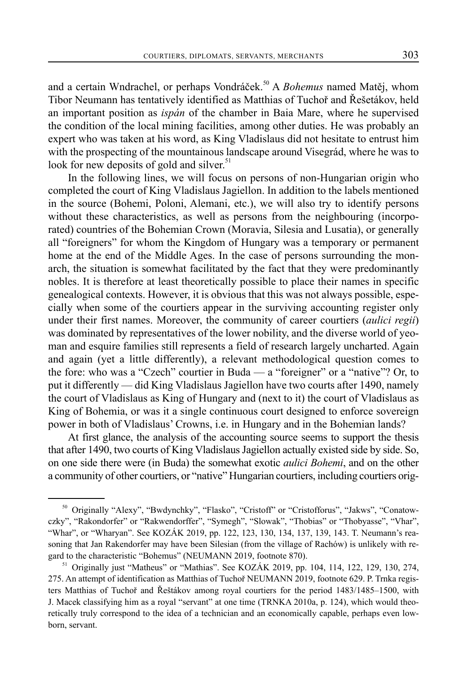and a certain Wndrachel, or perhaps Vondráček.<sup>50</sup> A *Bohemus* named Matěj, whom Tibor Neumann has tentatively identified as Matthias of Tuchoř and Řešetákov, held an important position as *ispán* of the chamber in Baia Mare, where he supervised the condition of the local mining facilities, among other duties. He was probably an expert who was taken at his word, as King Vladislaus did not hesitate to entrust him with the prospecting of the mountainous landscape around Visegrád, where he was to look for new deposits of gold and silver.<sup>51</sup>

In the following lines, we will focus on persons of non-Hungarian origin who completed the court of King Vladislaus Jagiellon. In addition to the labels mentioned in the source (Bohemi, Poloni, Alemani, etc.), we will also try to identify persons without these characteristics, as well as persons from the neighbouring (incorporated) countries of the Bohemian Crown (Moravia, Silesia and Lusatia), or generally all "foreigners" for whom the Kingdom of Hungary was a temporary or permanent home at the end of the Middle Ages. In the case of persons surrounding the monarch, the situation is somewhat facilitated by the fact that they were predominantly nobles. It is therefore at least theoretically possible to place their names in specific genealogical contexts. However, it is obvious that this was not always possible, especially when some of the courtiers appear in the surviving accounting register only under their first names. Moreover, the community of career courtiers (*aulici regii*) was dominated by representatives of the lower nobility, and the diverse world of yeoman and esquire families still represents a field of research largely uncharted. Again and again (yet a little differently), a relevant methodological question comes to the fore: who was a "Czech" courtier in Buda — a "foreigner" or a "native"? Or, to put it differently — did King Vladislaus Jagiellon have two courts after 1490, namely the court of Vladislaus as King of Hungary and (next to it) the court of Vladislaus as King of Bohemia, or was it a single continuous court designed to enforce sovereign power in both of Vladislaus' Crowns, i.e. in Hungary and in the Bohemian lands?

At first glance, the analysis of the accounting source seems to support the thesis that after 1490, two courts of King Vladislaus Jagiellon actually existed side by side. So, on one side there were (in Buda) the somewhat exotic *aulici Bohemi*, and on the other a community of other courtiers, or "native" Hungarian courtiers, including courtiers orig-

<sup>&</sup>lt;sup>50</sup> Originally "Alexy", "Bwdynchky", "Flasko", "Cristoff" or "Cristofforus", "Jakws", "Conatowczky", "Rakondorfer" or "Rakwendorffer", "Symegh", "Slowak", "Thobias" or "Thobyasse", "Vhar", "Whar", or "Wharyan". See KOZÁK 2019, pp. 122, 123, 130, 134, 137, 139, 143. T. Neumann's reasoning that Jan Rakendorfer may have been Silesian (from the village of Rachów) is unlikely with regard to the characteristic "Bohemus" (NEUMANN 2019, footnote 870).

<sup>&</sup>lt;sup>51</sup> Originally just "Matheus" or "Mathias". See KOZÁK 2019, pp. 104, 114, 122, 129, 130, 274, 275. An attempt of identification as Matthias of Tuchoř NEUMANN 2019, footnote 629. P. Trnka registers Matthias of Tuchoř and Řeštákov among royal courtiers for the period 1483/1485–1500, with J. Macek classifying him as a royal "servant" at one time (TRNKA 2010a, p. 124), which would theoretically truly correspond to the idea of a technician and an economically capable, perhaps even lowborn, servant.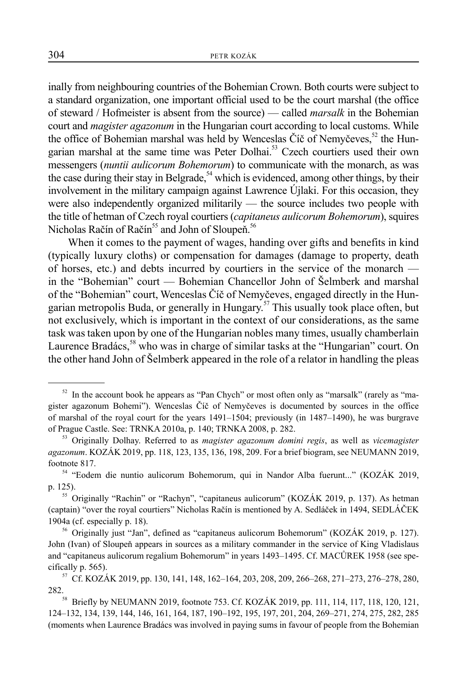inally from neighbouring countries of the Bohemian Crown. Both courts were subject to a standard organization, one important official used to be the court marshal (the office of steward / Hofmeister is absent from the source) — called *marsalk* in the Bohemian court and *magister agazonum* in the Hungarian court according to local customs. While the office of Bohemian marshal was held by Wenceslas Číč of Nemyčeves,<sup>52</sup> the Hungarian marshal at the same time was Peter Dolhai.<sup>53</sup> Czech courtiers used their own messengers (*nuntii aulicorum Bohemorum*) to communicate with the monarch, as was the case during their stay in Belgrade,<sup>54</sup> which is evidenced, among other things, by their involvement in the military campaign against Lawrence Újlaki. For this occasion, they were also independently organized militarily — the source includes two people with the title of hetman of Czech royal courtiers (*capitaneus aulicorum Bohemorum*), squires Nicholas Račín of Račín<sup>55</sup> and John of Sloupeň.<sup>56</sup>

When it comes to the payment of wages, handing over gifts and benefits in kind (typically luxury cloths) or compensation for damages (damage to property, death of horses, etc.) and debts incurred by courtiers in the service of the monarch in the "Bohemian" court — Bohemian Chancellor John of Šelmberk and marshal of the "Bohemian" court, Wenceslas Číč of Nemyčeves, engaged directly in the Hungarian metropolis Buda, or generally in Hungary.<sup>57</sup> This usually took place often, but not exclusively, which is important in the context of our considerations, as the same task was taken upon by one of the Hungarian nobles many times, usually chamberlain Laurence Bradács,<sup>58</sup> who was in charge of similar tasks at the "Hungarian" court. On the other hand John of Šelmberk appeared in the role of a relator in handling the pleas

 $52$  In the account book he appears as "Pan Chych" or most often only as "marsalk" (rarely as "magister agazonum Bohemi"). Wenceslas Číč of Nemyčeves is documented by sources in the office of marshal of the royal court for the years 1491–1504; previously (in 1487–1490), he was burgrave of Prague Castle. See: TRNKA 2010a, p. 140; TRNKA 2008, p. 282.

<sup>53</sup> Originally Dolhay. Referred to as *magister agazonum domini regis*, as well as *vicemagister agazonum*. KOZÁK 2019, pp. 118, 123, 135, 136, 198, 209. For a brief biogram, see NEUMANN 2019, footnote 817.

<sup>54 &</sup>quot;Eodem die nuntio aulicorum Bohemorum, qui in Nandor Alba fuerunt..." (KOZÁK 2019, p. 125).

<sup>&</sup>lt;sup>55</sup> Originally "Rachin" or "Rachyn", "capitaneus aulicorum" (KOZÁK 2019, p. 137). As hetman (captain) "over the royal courtiers" Nicholas Račín is mentioned by A. Sedláček in 1494, SEDLÁČEK 1904a (cf. especially p. 18).

<sup>56</sup> Originally just "Jan", defined as "capitaneus aulicorum Bohemorum" (KOZÁK 2019, p. 127). John (Ivan) of Sloupeň appears in sources as a military commander in the service of King Vladislaus and "capitaneus aulicorum regalium Bohemorum" in years 1493–1495. Cf. MACŮREK 1958 (see specifically p. 565).<br><sup>57</sup> Cf. KOZÁK 2019, pp. 130, 141, 148, 162–164, 203, 208, 209, 266–268, 271–273, 276–278, 280,

<sup>&</sup>lt;sup>282.</sup><br><sup>58</sup> Briefly by NEUMANN 2019, footnote 753. Cf. KOZÁK 2019, pp. 111, 114, 117, 118, 120, 121,

<sup>124–132, 134, 139, 144, 146, 161, 164, 187, 190–192, 195, 197, 201, 204, 269–271, 274, 275, 282, 285</sup>  (moments when Laurence Bradács was involved in paying sums in favour of people from the Bohemian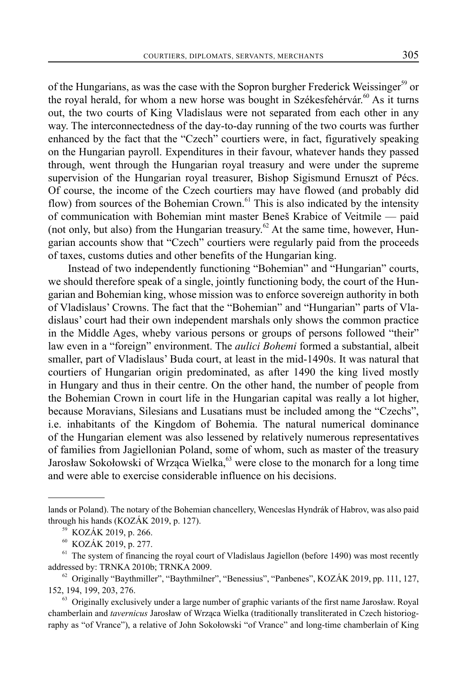of the Hungarians, as was the case with the Sopron burgher Frederick Weissinger<sup>59</sup> or the royal herald, for whom a new horse was bought in Székesfehérvár.<sup>60</sup> As it turns out, the two courts of King Vladislaus were not separated from each other in any way. The interconnectedness of the day-to-day running of the two courts was further enhanced by the fact that the "Czech" courtiers were, in fact, figuratively speaking on the Hungarian payroll. Expenditures in their favour, whatever hands they passed through, went through the Hungarian royal treasury and were under the supreme supervision of the Hungarian royal treasurer, Bishop Sigismund Ernuszt of Pécs. Of course, the income of the Czech courtiers may have flowed (and probably did flow) from sources of the Bohemian Crown.<sup>61</sup> This is also indicated by the intensity of communication with Bohemian mint master Beneš Krabice of Veitmile — paid (not only, but also) from the Hungarian treasury.<sup>62</sup> At the same time, however, Hungarian accounts show that "Czech" courtiers were regularly paid from the proceeds of taxes, customs duties and other benefits of the Hungarian king.

Instead of two independently functioning "Bohemian" and "Hungarian" courts, we should therefore speak of a single, jointly functioning body, the court of the Hungarian and Bohemian king, whose mission was to enforce sovereign authority in both of Vladislaus' Crowns. The fact that the "Bohemian" and "Hungarian" parts of Vladislaus' court had their own independent marshals only shows the common practice in the Middle Ages, wheby various persons or groups of persons followed "their" law even in a "foreign" environment. The *aulici Bohemi* formed a substantial, albeit smaller, part of Vladislaus' Buda court, at least in the mid-1490s. It was natural that courtiers of Hungarian origin predominated, as after 1490 the king lived mostly in Hungary and thus in their centre. On the other hand, the number of people from the Bohemian Crown in court life in the Hungarian capital was really a lot higher, because Moravians, Silesians and Lusatians must be included among the "Czechs", i.e. inhabitants of the Kingdom of Bohemia. The natural numerical dominance of the Hungarian element was also lessened by relatively numerous representatives of families from Jagiellonian Poland, some of whom, such as master of the treasury Jarosław Sokołowski of Wrząca Wielka,<sup>63</sup> were close to the monarch for a long time and were able to exercise considerable influence on his decisions.

lands or Poland). The notary of the Bohemian chancellery, Wenceslas Hyndrák of Habrov, was also paid through his hands (KOZÁK 2019, p. 127).

<sup>59</sup> KOZÁK 2019, p. 266.

<sup>60</sup> KOZÁK 2019, p. 277.

The system of financing the royal court of Vladislaus Jagiellon (before 1490) was most recently addressed by: TRNKA 2010b; TRNKA 2009.<br><sup>62</sup> Originally "Baythmiller", "Baythmilner", "Benessius", "Panbenes", KOZÁK 2019, pp. 111, 127,

<sup>152, 194, 199, 203, 276.</sup>

 $63$  Originally exclusively under a large number of graphic variants of the first name Jarosław. Royal chamberlain and *tavernicus* Jarosław of Wrząca Wielka (traditionally transliterated in Czech historiography as "of Vrance"), a relative of John Sokołowski "of Vrance" and long-time chamberlain of King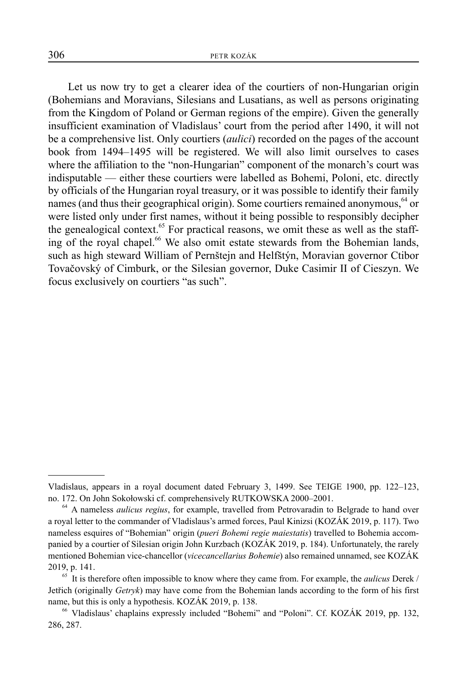Let us now try to get a clearer idea of the courtiers of non-Hungarian origin (Bohemians and Moravians, Silesians and Lusatians, as well as persons originating from the Kingdom of Poland or German regions of the empire). Given the generally insufficient examination of Vladislaus' court from the period after 1490, it will not be a comprehensive list. Only courtiers (*aulici*) recorded on the pages of the account book from 1494–1495 will be registered. We will also limit ourselves to cases where the affiliation to the "non-Hungarian" component of the monarch's court was indisputable — either these courtiers were labelled as Bohemi, Poloni, etc. directly by officials of the Hungarian royal treasury, or it was possible to identify their family names (and thus their geographical origin). Some courtiers remained anonymous, <sup>64</sup> or were listed only under first names, without it being possible to responsibly decipher the genealogical context.<sup>65</sup> For practical reasons, we omit these as well as the staffing of the royal chapel.<sup>66</sup> We also omit estate stewards from the Bohemian lands, such as high steward William of Pernštejn and Helfštýn, Moravian governor Ctibor Tovačovský of Cimburk, or the Silesian governor, Duke Casimir II of Cieszyn. We focus exclusively on courtiers "as such".

Vladislaus, appears in a royal document dated February 3, 1499. See TEIGE 1900, pp. 122–123, no. 172. On John Sokołowski cf. comprehensively RUTKOWSKA 2000–2001.

<sup>&</sup>lt;sup>64</sup> A nameless *aulicus regius*, for example, travelled from Petrovaradin to Belgrade to hand over a royal letter to the commander of Vladislaus's armed forces, Paul Kinizsi (KOZÁK 2019, p. 117). Two nameless esquires of "Bohemian" origin (*pueri Bohemi regie maiestatis*) travelled to Bohemia accompanied by a courtier of Silesian origin John Kurzbach (KOZÁK 2019, p. 184). Unfortunately, the rarely mentioned Bohemian vice-chancellor (*vicecancellarius Bohemie*) also remained unnamed, see KOZÁK 2019, p. 141.

<sup>65</sup> It is therefore often impossible to know where they came from. For example, the *aulicus* Derek / Jetřich (originally *Getryk*) may have come from the Bohemian lands according to the form of his first name, but this is only a hypothesis. KOZÁK 2019, p. 138.

<sup>66</sup> Vladislaus' chaplains expressly included "Bohemi" and "Poloni". Cf. KOZÁK 2019, pp. 132, 286, 287.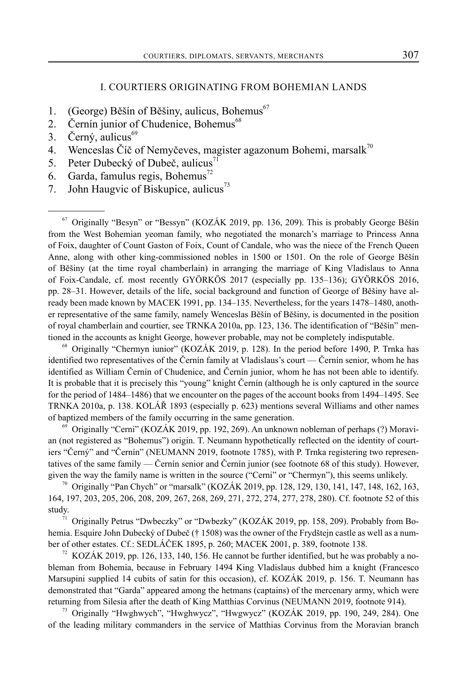## I. COURTIERS ORIGINATING FROM BOHEMIAN LANDS

- 1. (George) Běšín of Běšiny, aulicus, Bohemus<sup>67</sup>
- 2. Černín junior of Chudenice, Bohemus<sup>68</sup>
- 3. Černý, aulicus $^{69}$
- 4. Wenceslas Číč of Nemyčeves, magister agazonum Bohemi, marsal $k^{70}$
- 5. Peter Dubecký of Dubeč, aulicus $^{71}$
- 6. Garda, famulus regis, Bohemus<sup>72</sup>
- 7. John Haugvic of Biskupice, aulicus<sup>73</sup>

 $67$  Originally "Besyn" or "Bessyn" (KOZÁK 2019, pp. 136, 209). This is probably George Běšín from the West Bohemian yeoman family, who negotiated the monarch's marriage to Princess Anna of Foix, daughter of Count Gaston of Foix, Count of Candale, who was the niece of the French Queen Anne, along with other king-commissioned nobles in 1500 or 1501. On the role of George Běšín of Běšiny (at the time royal chamberlain) in arranging the marriage of King Vladislaus to Anna of Foix-Candale, cf. most recently GYÖRKÖS 2017 (especially pp. 135–136); GYÖRKÖS 2016, pp. 28–31. However, details of the life, social background and function of George of Běšiny have already been made known by MACEK 1991, pp. 134–135. Nevertheless, for the years 1478–1480, another representative of the same family, namely Wenceslas Běšín of Běšiny, is documented in the position of royal chamberlain and courtier, see TRNKA 2010a, pp. 123, 136. The identification of "Běšín" mentioned in the accounts as knight George, however probable, may not be completely indisputable.

68 Originally "Chermyn iunior" (KOZÁK 2019, p. 128). In the period before 1490, P. Trnka has identified two representatives of the Černín family at Vladislaus's court — Černín senior, whom he has identified as William Černín of Chudenice, and Černín junior, whom he has not been able to identify. It is probable that it is precisely this "young" knight Černín (although he is only captured in the source for the period of 1484–1486) that we encounter on the pages of the account books from 1494–1495. See TRNKA 2010a, p. 138. KOLÁŘ 1893 (especially p. 623) mentions several Williams and other names of baptized members of the family occurring in the same generation.

69 Originally "Cerni" (KOZÁK 2019, pp. 192, 269). An unknown nobleman of perhaps (?) Moravian (not registered as "Bohemus") origin. T. Neumann hypothetically reflected on the identity of courtiers "Černý" and "Černín" (NEUMANN 2019, footnote 1785), with P. Trnka registering two representatives of the same family — Černín senior and Černín junior (see footnote 68 of this study). However, given the way the family name is written in the source ("Cerni" or "Chermyn"), this seems unlikely.

<sup>70</sup> Originally "Pan Chych" or "marsalk" (KOZÁK 2019, pp. 128, 129, 130, 141, 147, 148, 162, 163, 164, 197, 203, 205, 206, 208, 209, 267, 268, 269, 271, 272, 274, 277, 278, 280). Cf. footnote 52 of this study.

71 Originally Petrus "Dwbeczky" or "Dwbezky" (KOZÁK 2019, pp. 158, 209). Probably from Bohemia. Esquire John Dubecký of Dubeč († 1508) was the owner of the Frydštejn castle as well as a number of other estates. Cf.: SEDLÁČEK 1895, p. 260; MACEK 2001, p. 389, footnote 138.

KOZÁK 2019, pp. 126, 133, 140, 156. He cannot be further identified, but he was probably a nobleman from Bohemia, because in February 1494 King Vladislaus dubbed him a knight (Francesco Marsupini supplied 14 cubits of satin for this occasion), cf. KOZÁK 2019, p. 156. T. Neumann has demonstrated that "Garda" appeared among the hetmans (captains) of the mercenary army, which were returning from Silesia after the death of King Matthias Corvinus (NEUMANN 2019, footnote 914).

 $73$  Originally "Hwghwych", "Hwghwycz", "Hwgwycz" (KOZÁK 2019, pp. 190, 249, 284). One of the leading military commanders in the service of Matthias Corvinus from the Moravian branch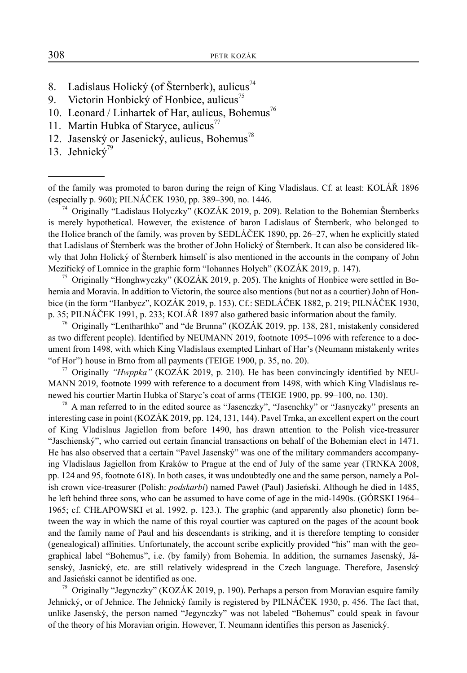- 8. Ladislaus Holický (of Šternberk), aulicus $^{74}$
- 9. Victorin Honbický of Honbice, aulicus $^{75}$
- 10. Leonard / Linhartek of Har, aulicus, Bohemus<sup>76</sup>
- 11. Martin Hubka of Staryce, aulicus $<sup>77</sup>$ </sup>
- 12. Jasenský or Jasenický, aulicus, Bohemus<sup>78</sup>
- 13. Jehnický $79$

of the family was promoted to baron during the reign of King Vladislaus. Cf. at least: KOLÁŘ 1896 (especially p. 960); PILNÁČEK 1930, pp. 389–390, no. 1446. 74 Originally "Ladislaus Holyczky" (KOZÁK 2019, p. 209). Relation to the Bohemian Šternberks

is merely hypothetical. However, the existence of baron Ladislaus of Šternberk, who belonged to the Holice branch of the family, was proven by SEDLÁČEK 1890, pp. 26–27, when he explicitly stated that Ladislaus of Šternberk was the brother of John Holický of Šternberk. It can also be considered likwly that John Holický of Šternberk himself is also mentioned in the accounts in the company of John Meziřický of Lomnice in the graphic form "Iohannes Holych" (KOZÁK 2019, p. 147).<br><sup>75</sup> Originally "Honghwyczky" (KOZÁK 2019, p. 205). The knights of Honbice were settled in Bo-

hemia and Moravia. In addition to Victorin, the source also mentions (but not as a courtier) John of Honbice (in the form "Hanbycz", KOZÁK 2019, p. 153). Cf.: SEDLÁČEK 1882, p. 219; PILNÁČEK 1930, p. 35; PILNÁČEK 1991, p. 233; KOLÁŘ 1897 also gathered basic information about the family.

<sup>76</sup> Originally "Lentharthko" and "de Brunna" (KOZÁK 2019, pp. 138, 281, mistakenly considered as two different people). Identified by NEUMANN 2019, footnote 1095–1096 with reference to a document from 1498, with which King Vladislaus exempted Linhart of Har's (Neumann mistakenly writes "of Hor") house in Brno from all payments (TEIGE 1900, p. 35, no. 20).

77 Originally *"Hwppka"* (KOZÁK 2019, p. 210). He has been convincingly identified by NEU-MANN 2019, footnote 1999 with reference to a document from 1498, with which King Vladislaus renewed his courtier Martin Hubka of Staryc's coat of arms (TEIGE 1900, pp. 99–100, no. 130).

 $78$  A man referred to in the edited source as "Jasenczky", "Jasenchky" or "Jasnyczky" presents an interesting case in point (KOZÁK 2019, pp. 124, 131, 144). Pavel Trnka, an excellent expert on the court of King Vladislaus Jagiellon from before 1490, has drawn attention to the Polish vice-treasurer "Jaschienský", who carried out certain financial transactions on behalf of the Bohemian elect in 1471. He has also observed that a certain "Pavel Jasenský" was one of the military commanders accompanying Vladislaus Jagiellon from Kraków to Prague at the end of July of the same year (TRNKA 2008, pp. 124 and 95, footnote 618). In both cases, it was undoubtedly one and the same person, namely a Polish crown vice-treasurer (Polish: *podskarbi*) named Paweł (Paul) Jasieński. Although he died in 1485, he left behind three sons, who can be assumed to have come of age in the mid-1490s. (GÓRSKI 1964– 1965; cf. CHŁAPOWSKI et al. 1992, p. 123.). The graphic (and apparently also phonetic) form between the way in which the name of this royal courtier was captured on the pages of the acount book and the family name of Paul and his descendants is striking, and it is therefore tempting to consider (genealogical) affinities. Unfortunately, the account scribe explicitly provided "his" man with the geographical label "Bohemus", i.e. (by family) from Bohemia. In addition, the surnames Jasenský, Jásenský, Jasnický, etc. are still relatively widespread in the Czech language. Therefore, Jasenský and Jasieński cannot be identified as one.

<sup>79</sup> Originally "Jegynczky" (KOZÁK 2019, p. 190). Perhaps a person from Moravian esquire family Jehnický, or of Jehnice. The Jehnický family is registered by PILNÁČEK 1930, p. 456. The fact that, unlike Jasenský, the person named "Jegynczky" was not labeled "Bohemus" could speak in favour of the theory of his Moravian origin. However, T. Neumann identifies this person as Jasenický.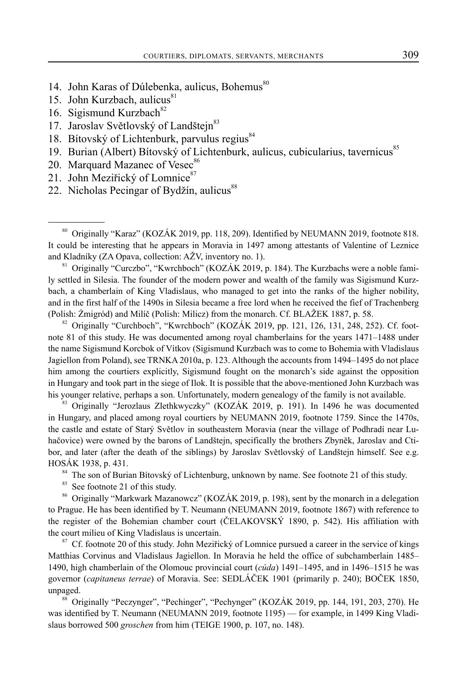- 14. John Karas of Dúlebenka, aulicus, Bohemus<sup>80</sup>
- 15. John Kurzbach, aulicus $81$
- 16. Sigismund Kurzbach<sup>82</sup>
- 17. Jaroslav Světlovský of Landštejn<sup>83</sup>
- 18. Bítovský of Lichtenburk, parvulus regius<sup>84</sup>
- 19. Burian (Albert) Bítovský of Lichtenburk, aulicus, cubicularius, tavernicus<sup>85</sup>
- 20. Marquard Mazanec of Vesec<sup>86</sup>
- 21. John Meziřický of Lomnice<sup>87</sup>
- 22. Nicholas Pecingar of Bydžín, aulicus<sup>88</sup>

80 Originally "Karaz" (KOZÁK 2019, pp. 118, 209). Identified by NEUMANN 2019, footnote 818. It could be interesting that he appears in Moravia in 1497 among attestants of Valentine of Leznice and Kladníky (ZA Opava, collection: AŽV, inventory no. 1).

81 Originally "Curczbo", "Kwrchboch" (KOZÁK 2019, p. 184). The Kurzbachs were a noble family settled in Silesia. The founder of the modern power and wealth of the family was Sigismund Kurzbach, a chamberlain of King Vladislaus, who managed to get into the ranks of the higher nobility, and in the first half of the 1490s in Silesia became a free lord when he received the fief of Trachenberg (Polish: Żmigród) and Milíč (Polish: Milicz) from the monarch. Cf. BLAŽEK 1887, p. 58.<br><sup>82</sup> Originally "Curchboch", "Kwrchboch" (KOZÁK 2019, pp. 121, 126, 131, 248, 252). Cf. foot-

note 81 of this study. He was documented among royal chamberlains for the years 1471–1488 under the name Sigismund Korcbok of Vítkov (Sigismund Kurzbach was to come to Bohemia with Vladislaus Jagiellon from Poland), see TRNKA 2010a, p. 123. Although the accounts from 1494–1495 do not place him among the courtiers explicitly, Sigismund fought on the monarch's side against the opposition in Hungary and took part in the siege of Ilok. It is possible that the above-mentioned John Kurzbach was his younger relative, perhaps a son. Unfortunately, modern genealogy of the family is not available.

<sup>83</sup> Originally "Jerozlaus Zlethkwyczky" (KOZÁK 2019, p. 191). In 1496 he was documented in Hungary, and placed among royal courtiers by NEUMANN 2019, footnote 1759. Since the 1470s, the castle and estate of Starý Světlov in southeastern Moravia (near the village of Podhradí near Luhačovice) were owned by the barons of Landštejn, specifically the brothers Zbyněk, Jaroslav and Ctibor, and later (after the death of the siblings) by Jaroslav Světlovský of Landštejn himself. See e.g. HOSÁK 1938, p. 431.

<sup>84</sup> The son of Burian Bítovský of Lichtenburg, unknown by name. See footnote 21 of this study.

<sup>85</sup> See footnote 21 of this study.

<sup>86</sup> Originally "Markwark Mazanowcz" (KOZÁK 2019, p. 198), sent by the monarch in a delegation to Prague. He has been identified by T. Neumann (NEUMANN 2019, footnote 1867) with reference to the register of the Bohemian chamber court (ČELAKOVSKÝ 1890, p. 542). His affiliation with the court milieu of King Vladislaus is uncertain.<br><sup>87</sup> Cf. footnote 20 of this study. John Meziřický of Lomnice pursued a career in the service of kings

Matthias Corvinus and Vladislaus Jagiellon. In Moravia he held the office of subchamberlain 1485– 1490, high chamberlain of the Olomouc provincial court (*cúda*) 1491–1495, and in 1496–1515 he was governor (*capitaneus terrae*) of Moravia. See: SEDLÁČEK 1901 (primarily p. 240); BOČEK 1850, unpaged.

<sup>88</sup> Originally "Peczynger", "Pechinger", "Pechynger" (KOZÁK 2019, pp. 144, 191, 203, 270). He was identified by T. Neumann (NEUMANN 2019, footnote 1195) — for example, in 1499 King Vladislaus borrowed 500 *groschen* from him (TEIGE 1900, p. 107, no. 148).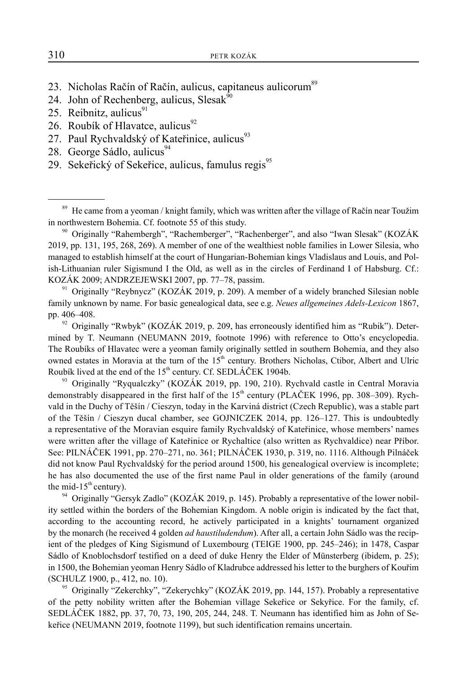- 23. Nicholas Račín of Račín, aulicus, capitaneus aulicorum<sup>89</sup>
- 24. John of Rechenberg, aulicus, Slesak $\frac{90}{90}$
- 25. Reibnitz, aulicus $91$
- 26. Roubík of Hlavatce, aulicus<sup>92</sup>
- 27. Paul Rychvaldský of Kateřinice, aulicus $^{93}$
- 28. George Sádlo, aulicus<sup>94</sup>
- 29. Sekeřický of Sekeřice, aulicus, famulus regis $^{95}$

2019, pp. 131, 195, 268, 269). A member of one of the wealthiest noble families in Lower Silesia, who managed to establish himself at the court of Hungarian-Bohemian kings Vladislaus and Louis, and Polish-Lithuanian ruler Sigismund I the Old, as well as in the circles of Ferdinand I of Habsburg. Cf.: KOZÁK 2009; ANDRZEJEWSKI 2007, pp. 77–78, passim.

<sup>91</sup> Originally "Reybnycz" (KOZÁK 2019, p. 209). A member of a widely branched Silesian noble family unknown by name. For basic genealogical data, see e.g. *Neues allgemeines Adels-Lexicon* 1867, pp. 406–408.

 $92$  Originally "Rwbyk" (KOZÁK 2019, p. 209, has erroneously identified him as "Rubik"). Determined by T. Neumann (NEUMANN 2019, footnote 1996) with reference to Otto's encyclopedia. The Roubíks of Hlavatec were a yeoman family originally settled in southern Bohemia, and they also owned estates in Moravia at the turn of the 15<sup>th</sup> century. Brothers Nicholas, Ctibor, Albert and Ulric Roubík lived at the end of the 15<sup>th</sup> century. Cf. SEDLÁČEK 1904b.

<sup>93</sup> Originally "Ryqualczky" (KOZÁK 2019, pp. 190, 210). Rychvald castle in Central Moravia demonstrably disappeared in the first half of the 15<sup>th</sup> century (PLAČEK 1996, pp. 308–309). Rychvald in the Duchy of Těšín / Cieszyn, today in the Karviná district (Czech Republic), was a stable part of the Těšín / Cieszyn ducal chamber, see GOJNICZEK 2014, pp. 126–127. This is undoubtedly a representative of the Moravian esquire family Rychvaldský of Kateřinice, whose members' names were written after the village of Kateřinice or Rychaltice (also written as Rychvaldice) near Příbor. See: PILNÁČEK 1991, pp. 270–271, no. 361; PILNÁČEK 1930, p. 319, no. 1116. Although Pilnáček did not know Paul Rychvaldský for the period around 1500, his genealogical overview is incomplete; he has also documented the use of the first name Paul in older generations of the family (around the mid-15<sup>th</sup> century).

<sup>94</sup> Originally "Gersyk Zadlo" (KOZÁK 2019, p. 145). Probably a representative of the lower nobility settled within the borders of the Bohemian Kingdom. A noble origin is indicated by the fact that, according to the accounting record, he actively participated in a knights' tournament organized by the monarch (he received 4 golden *ad haustiludendum*). After all, a certain John Sádlo was the recipient of the pledges of King Sigismund of Luxembourg (TEIGE 1900, pp. 245–246); in 1478, Caspar Sádlo of Knoblochsdorf testified on a deed of duke Henry the Elder of Münsterberg (ibidem, p. 25); in 1500, the Bohemian yeoman Henry Sádlo of Kladrubce addressed his letter to the burghers of Kouřim (SCHULZ 1900, p., 412, no. 10).

<sup>95</sup> Originally "Zekerchky", "Zekerychky" (KOZÁK 2019, pp. 144, 157). Probably a representative of the petty nobility written after the Bohemian village Sekeřice or Sekyřice. For the family, cf. SEDLÁČEK 1882, pp. 37, 70, 73, 190, 205, 244, 248. T. Neumann has identified him as John of Sekeřice (NEUMANN 2019, footnote 1199), but such identification remains uncertain.

<sup>&</sup>lt;sup>89</sup> He came from a yeoman / knight family, which was written after the village of Račín near Toužim in northwestern Bohemia. Cf. footnote 55 of this study.<br><sup>90</sup> Originally "Rahembergh", "Rachemberger", "Rachenberger", and also "Iwan Slesak" (KOZÁK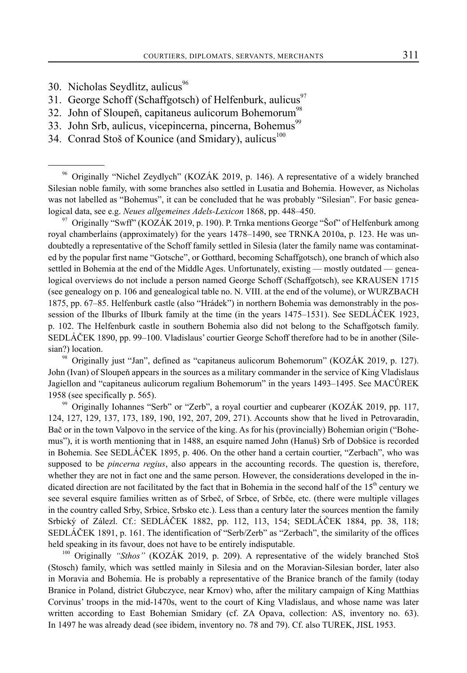- 30. Nicholas Seydlitz, aulicus $96$
- 31. George Schoff (Schaffgotsch) of Helfenburk, aulicus<sup>97</sup>
- 32. John of Sloupeň, capitaneus aulicorum Bohemorum<sup>98</sup>
- 33. John Srb, aulicus, vicepincerna, pincerna, Bohemus<sup>99</sup>
- 34. Conrad Stoš of Kounice (and Smidary), aulicus $100$

96 Originally "Nichel Zeydlych" (KOZÁK 2019, p. 146). A representative of a widely branched Silesian noble family, with some branches also settled in Lusatia and Bohemia. However, as Nicholas was not labelled as "Bohemus", it can be concluded that he was probably "Silesian". For basic genealogical data, see e.g. *Neues allgemeines Adels-Lexicon* 1868, pp. 448–450.

 $97$  Originally "Swff" (KOZÁK 2019, p. 190). P. Trnka mentions George "Sof" of Helfenburk among royal chamberlains (approximately) for the years 1478–1490, see TRNKA 2010a, p. 123. He was undoubtedly a representative of the Schoff family settled in Silesia (later the family name was contaminated by the popular first name "Gotsche", or Gotthard, becoming Schaffgotsch), one branch of which also settled in Bohemia at the end of the Middle Ages. Unfortunately, existing — mostly outdated — genealogical overviews do not include a person named George Schoff (Schaffgotsch), see KRAUSEN 1715 (see genealogy on p. 106 and genealogical table no. N. VIII. at the end of the volume), or WURZBACH 1875, pp. 67–85. Helfenburk castle (also "Hrádek") in northern Bohemia was demonstrably in the possession of the Ilburks of Ilburk family at the time (in the years 1475–1531). See SEDLÁČEK 1923, p. 102. The Helfenburk castle in southern Bohemia also did not belong to the Schaffgotsch family. SEDLÁČEK 1890, pp. 99–100. Vladislaus' courtier George Schoff therefore had to be in another (Silesian?) location.

98 Originally just "Jan", defined as "capitaneus aulicorum Bohemorum" (KOZÁK 2019, p. 127). John (Ivan) of Sloupeň appears in the sources as a military commander in the service of King Vladislaus Jagiellon and "capitaneus aulicorum regalium Bohemorum" in the years 1493–1495. See MACŮREK 1958 (see specifically p. 565).

99 Originally Iohannes "Serb" or "Zerb", a royal courtier and cupbearer (KOZÁK 2019, pp. 117, 124, 127, 129, 137, 173, 189, 190, 192, 207, 209, 271). Accounts show that he lived in Petrovaradin, Bač or in the town Valpovo in the service of the king. As for his (provincially) Bohemian origin ("Bohemus"), it is worth mentioning that in 1488, an esquire named John (Hanuš) Srb of Dobšice is recorded in Bohemia. See SEDLÁČEK 1895, p. 406. On the other hand a certain courtier, "Zerbach", who was supposed to be *pincerna regius*, also appears in the accounting records. The question is, therefore, whether they are not in fact one and the same person. However, the considerations developed in the indicated direction are not facilitated by the fact that in Bohemia in the second half of the  $15<sup>th</sup>$  century we see several esquire families written as of Srbeč, of Srbce, of Srbče, etc. (there were multiple villages in the country called Srby, Srbice, Srbsko etc.). Less than a century later the sources mention the family Srbický of Zálezl. Cf.: SEDLÁČEK 1882, pp. 112, 113, 154; SEDLÁČEK 1884, pp. 38, 118; SEDLÁČEK 1891, p. 161. The identification of "Serb/Zerb" as "Zerbach", the similarity of the offices held speaking in its favour, does not have to be entirely indisputable.

<sup>100</sup> Originally "Sthos" (KOZÁK 2019, p. 209). A representative of the widely branched Stoš (Stosch) family, which was settled mainly in Silesia and on the Moravian-Silesian border, later also in Moravia and Bohemia. He is probably a representative of the Branice branch of the family (today Branice in Poland, district Głubczyce, near Krnov) who, after the military campaign of King Matthias Corvinus' troops in the mid-1470s, went to the court of King Vladislaus, and whose name was later written according to East Bohemian Smidary (cf. ZA Opava, collection: AS, inventory no. 63). In 1497 he was already dead (see ibidem, inventory no. 78 and 79). Cf. also TUREK, JISL 1953.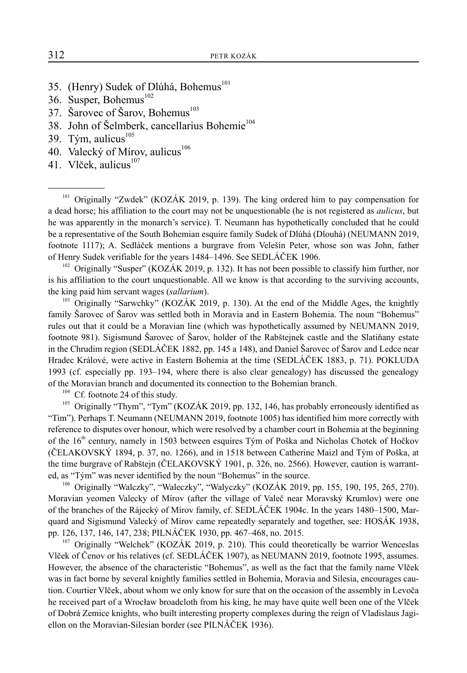- 35. (Henry) Sudek of Dlúhá, Bohemus<sup>101</sup>
- 36. Susper, Bohemus $^{102}$
- 37. Šarovec of Šarov, Bohemus<sup>103</sup>
- 38. John of Šelmberk, cancellarius Bohemie<sup>104</sup>
- 39. Tým, aulicus $^{105}$
- 40. Valecký of Mírov, aulicus<sup>106</sup>
- 41. Vlček, aulicus $107$

<sup>101</sup> Originally "Zwdek" (KOZÁK 2019, p. 139). The king ordered him to pay compensation for a dead horse; his affiliation to the court may not be unquestionable (he is not registered as *aulicus*, but he was apparently in the monarch's service). T. Neumann has hypothetically concluded that he could be a representative of the South Bohemian esquire family Sudek of Dlúhá (Dlouhá) (NEUMANN 2019, footnote 1117); A. Sedláček mentions a burgrave from Velešín Peter, whose son was John, father of Henry Sudek verifiable for the years 1484–1496. See SEDLÁČEK 1906.

<sup>102</sup> Originally "Susper" (KOZÁK 2019, p. 132). It has not been possible to classify him further, nor is his affiliation to the court unquestionable. All we know is that according to the surviving accounts, the king paid him servant wages (*sallarium*).

<sup>103</sup> Originally "Sarwchky" (KOZÁK 2019, p. 130). At the end of the Middle Ages, the knightly family Šarovec of Šarov was settled both in Moravia and in Eastern Bohemia. The noun "Bohemus" rules out that it could be a Moravian line (which was hypothetically assumed by NEUMANN 2019, footnote 981). Sigismund Šarovec of Šarov, holder of the Rabštejnek castle and the Slatiňany estate in the Chrudim region (SEDLÁČEK 1882, pp. 145 a 148), and Daniel Šarovec of Šarov and Ledce near Hradec Králové, were active in Eastern Bohemia at the time (SEDLÁČEK 1883, p. 71). POKLUDA 1993 (cf. especially pp. 193–194, where there is also clear genealogy) has discussed the genealogy of the Moravian branch and documented its connection to the Bohemian branch.

 $104$  Cf. footnote 24 of this study.

<sup>105</sup> Originally "Thym", "Tym" (KOZÁK 2019, pp. 132, 146, has probably erroneously identified as "Tim"). Perhaps T. Neumann (NEUMANN 2019, footnote 1005) has identified him more correctly with reference to disputes over honour, which were resolved by a chamber court in Bohemia at the beginning of the 16<sup>th</sup> century, namely in 1503 between esquires Tým of Poška and Nicholas Chotek of Hočkov (ČELAKOVSKÝ 1894, p. 37, no. 1266), and in 1518 between Catherine Maizl and Tým of Poška, at the time burgrave of Rabštejn (ČELAKOVSKÝ 1901, p. 326, no. 2566). However, caution is warranted, as "Tým" was never identified by the noun "Bohemus" in the source.

106 Originally "Walczky", "Waleczky", "Walyczky" (KOZÁK 2019, pp. 155, 190, 195, 265, 270). Moravian yeomen Valecky of Mírov (after the village of Valeč near Moravský Krumlov) were one of the branches of the Rájecký of Mírov family, cf. SEDLÁČEK 1904c. In the years 1480–1500, Marquard and Sigismund Valecký of Mírov came repeatedly separately and together, see: HOSÁK 1938, pp. 126, 137, 146, 147, 238; PILNÁČEK 1930, pp. 467–468, no. 2015.<br><sup>107</sup> Originally "Welchek" (KOZÁK 2019, p. 210). This could theoretically be warrior Wenceslas

Vlček of Čenov or his relatives (cf. SEDLÁČEK 1907), as NEUMANN 2019, footnote 1995, assumes. However, the absence of the characteristic "Bohemus", as well as the fact that the family name Vlček was in fact borne by several knightly families settled in Bohemia, Moravia and Silesia, encourages caution. Courtier Vlček, about whom we only know for sure that on the occasion of the assembly in Levoča he received part of a Wrocław broadcloth from his king, he may have quite well been one of the Vlček of Dobrá Zemice knights, who built interesting property complexes during the reign of Vladislaus Jagiellon on the Moravian-Silesian border (see PILNÁČEK 1936).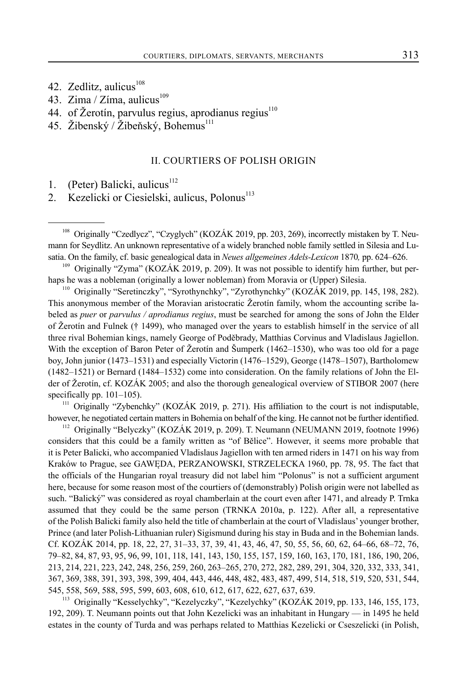- 42. Zedlitz, aulicus $108$
- 43. Zima / Zíma, aulicus $^{109}$
- 44. of Žerotín, parvulus regius, aprodianus regius $110$
- 45. Žibenský / Žibeňský, Bohemus $^{111}$

## II. COURTIERS OF POLISH ORIGIN

- 1. (Peter) Balicki, aulicus $112$
- 2. Kezelicki or Ciesielski, aulicus, Polonus<sup>113</sup>

<sup>110</sup> Originally "Seretinczky", "Syrothynchky", "Zyrothynchky" (KOZÁK 2019, pp. 145, 198, 282). This anonymous member of the Moravian aristocratic Žerotín family, whom the accounting scribe labeled as *puer* or *parvulus / aprodianus regius*, must be searched for among the sons of John the Elder of Žerotín and Fulnek († 1499), who managed over the years to establish himself in the service of all three rival Bohemian kings, namely George of Poděbrady, Matthias Corvinus and Vladislaus Jagiellon. With the exception of Baron Peter of Žerotín and Šumperk (1462–1530), who was too old for a page boy, John junior (1473–1531) and especially Victorin (1476–1529), George (1478–1507), Bartholomew (1482–1521) or Bernard (1484–1532) come into consideration. On the family relations of John the Elder of Žerotín, cf. KOZÁK 2005; and also the thorough genealogical overview of STIBOR 2007 (here specifically pp. 101–105).

<sup>111</sup> Originally "Zybenchky" (KOZÁK 2019, p. 271). His affiliation to the court is not indisputable, however, he negotiated certain matters in Bohemia on behalf of the king. He cannot not be further identified.

<sup>112</sup> Originally "Belyczky" (KOZÁK 2019, p. 209). T. Neumann (NEUMANN 2019, footnote 1996) considers that this could be a family written as "of Bělice". However, it seems more probable that it is Peter Balicki, who accompanied Vladislaus Jagiellon with ten armed riders in 1471 on his way from Kraków to Prague, see GAWĘDA, PERZANOWSKI, STRZELECKA 1960, pp. 78, 95. The fact that the officials of the Hungarian royal treasury did not label him "Polonus" is not a sufficient argument here, because for some reason most of the courtiers of (demonstrably) Polish origin were not labelled as such. "Balický" was considered as royal chamberlain at the court even after 1471, and already P. Trnka assumed that they could be the same person (TRNKA 2010a, p. 122). After all, a representative of the Polish Balicki family also held the title of chamberlain at the court of Vladislaus' younger brother, Prince (and later Polish-Lithuanian ruler) Sigismund during his stay in Buda and in the Bohemian lands. Cf. KOZÁK 2014, pp. 18, 22, 27, 31–33, 37, 39, 41, 43, 46, 47, 50, 55, 56, 60, 62, 64–66, 68–72, 76, 79–82, 84, 87, 93, 95, 96, 99, 101, 118, 141, 143, 150, 155, 157, 159, 160, 163, 170, 181, 186, 190, 206, 213, 214, 221, 223, 242, 248, 256, 259, 260, 263–265, 270, 272, 282, 289, 291, 304, 320, 332, 333, 341, 367, 369, 388, 391, 393, 398, 399, 404, 443, 446, 448, 482, 483, 487, 499, 514, 518, 519, 520, 531, 544, 545, 558, 569, 588, 595, 599, 603, 608, 610, 612, 617, 622, 627, 637, 639.

<sup>113</sup> Originally "Kesselychky", "Kezelyczky", "Kezelychky" (KOZÁK 2019, pp. 133, 146, 155, 173, 192, 209). T. Neumann points out that John Kezelicki was an inhabitant in Hungary — in 1495 he held estates in the county of Turda and was perhaps related to Matthias Kezelicki or Cseszelicki (in Polish,

<sup>&</sup>lt;sup>108</sup> Originally "Czedlycz", "Czyglych" (KOZÁK 2019, pp. 203, 269), incorrectly mistaken by T. Neumann for Seydlitz. An unknown representative of a widely branched noble family settled in Silesia and Lusatia. On the family, cf. basic genealogical data in *Neues allgemeines Adels-Lexicon* 1870*,* pp. 624–626.

<sup>&</sup>lt;sup>109</sup> Originally "Zyma" (KOZÁK 2019, p. 209). It was not possible to identify him further, but perhaps he was a nobleman (originally a lower nobleman) from Moravia or (Upper) Silesia.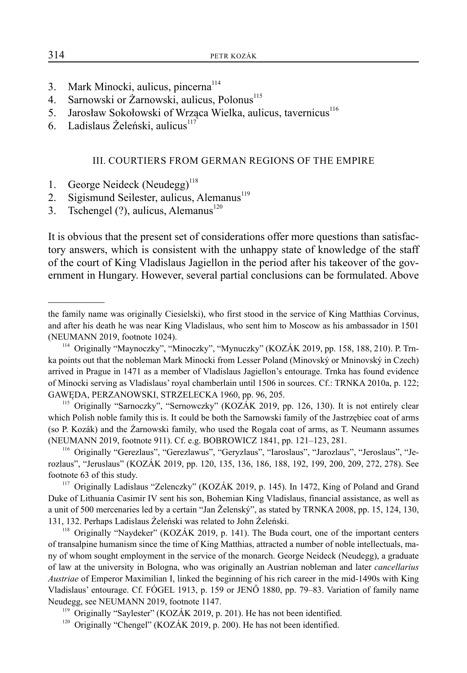- 3. Mark Minocki, aulicus, pincerna<sup>114</sup>
- 4. Sarnowski or Żarnowski, aulicus, Polonus<sup>115</sup>
- 5. Jarosław Sokołowski of Wrząca Wielka, aulicus, tavernicus<sup>116</sup>
- 6. Ladislaus Żeleński, aulicus $117$

## III. COURTIERS FROM GERMAN REGIONS OF THE EMPIRE

- 1. George Neideck (Neudegg)<sup>118</sup>
- 2. Sigismund Seilester, aulicus, Alemanus<sup>119</sup>
- 3. Tschengel  $(?)$ , aulicus, Alemanus<sup>120</sup>

It is obvious that the present set of considerations offer more questions than satisfactory answers, which is consistent with the unhappy state of knowledge of the staff of the court of King Vladislaus Jagiellon in the period after his takeover of the government in Hungary. However, several partial conclusions can be formulated. Above

<sup>120</sup> Originally "Chengel" (KOZÁK 2019, p. 200). He has not been identified.

the family name was originally Ciesielski), who first stood in the service of King Matthias Corvinus, and after his death he was near King Vladislaus, who sent him to Moscow as his ambassador in 1501 (NEUMANN 2019, footnote 1024).

<sup>114</sup> Originally "Maynoczky", "Minoczky", "Mynuczky" (KOZÁK 2019, pp. 158, 188, 210). P. Trnka points out that the nobleman Mark Minocki from Lesser Poland (Minovský or Mninovský in Czech) arrived in Prague in 1471 as a member of Vladislaus Jagiellon's entourage. Trnka has found evidence of Minocki serving as Vladislaus' royal chamberlain until 1506 in sources. Cf.: TRNKA 2010a, p. 122; GAWĘDA, PERZANOWSKI, STRZELECKA 1960, pp. 96, 205.

<sup>&</sup>lt;sup>115</sup> Originally "Sarnoczky", "Sernowczky" (KOZÁK 2019, pp. 126, 130). It is not entirely clear which Polish noble family this is. It could be both the Sarnowski family of the Jastrzębiec coat of arms (so P. Kozák) and the Żarnowski family, who used the Rogala coat of arms, as T. Neumann assumes

<sup>(</sup>NEUMANN 2019, footnote 911). Cf. e.g. BOBROWICZ 1841, pp. 121–123, 281. 116 Originally "Gerezlaus", "Gerezlawus", "Geryzlaus", "Iaroslaus", "Jarozlaus", "Jeroslaus", "Jerozlaus", "Jeruslaus" (KOZÁK 2019, pp. 120, 135, 136, 186, 188, 192, 199, 200, 209, 272, 278). See footnote 63 of this study.

<sup>&</sup>lt;sup>117</sup> Originally Ladislaus "Zelenczky" (KOZÁK 2019, p. 145). In 1472, King of Poland and Grand Duke of Lithuania Casimir IV sent his son, Bohemian King Vladislaus, financial assistance, as well as a unit of 500 mercenaries led by a certain "Jan Želenský", as stated by TRNKA 2008, pp. 15, 124, 130, 131, 132. Perhaps Ladislaus Żeleński was related to John Żeleński.

<sup>&</sup>lt;sup>118</sup> Originally "Naydeker" (KOZÁK 2019, p. 141). The Buda court, one of the important centers of transalpine humanism since the time of King Matthias, attracted a number of noble intellectuals, many of whom sought employment in the service of the monarch. George Neideck (Neudegg), a graduate of law at the university in Bologna, who was originally an Austrian nobleman and later *cancellarius Austriae* of Emperor Maximilian I, linked the beginning of his rich career in the mid-1490s with King Vladislaus' entourage. Cf. FÓGEL 1913, p. 159 or JENŐ 1880, pp. 79–83. Variation of family name Neudegg, see NEUMANN 2019, footnote 1147.

 $119$  Originally "Saylester" (KOZÁK 2019, p. 201). He has not been identified.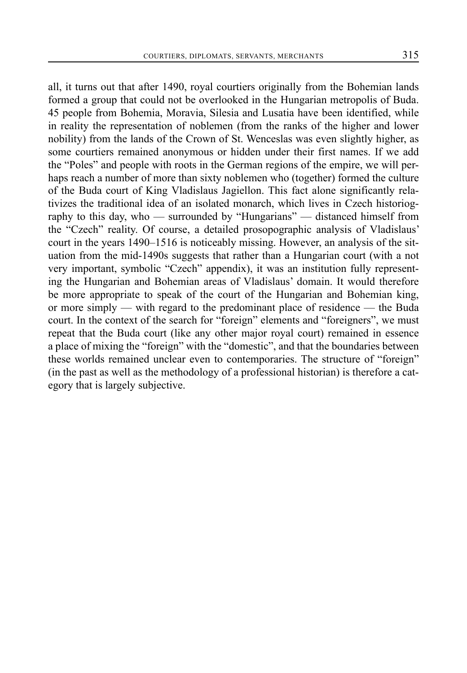all, it turns out that after 1490, royal courtiers originally from the Bohemian lands formed a group that could not be overlooked in the Hungarian metropolis of Buda. 45 people from Bohemia, Moravia, Silesia and Lusatia have been identified, while in reality the representation of noblemen (from the ranks of the higher and lower nobility) from the lands of the Crown of St. Wenceslas was even slightly higher, as some courtiers remained anonymous or hidden under their first names. If we add the "Poles" and people with roots in the German regions of the empire, we will perhaps reach a number of more than sixty noblemen who (together) formed the culture of the Buda court of King Vladislaus Jagiellon. This fact alone significantly relativizes the traditional idea of an isolated monarch, which lives in Czech historiography to this day, who — surrounded by "Hungarians" — distanced himself from the "Czech" reality. Of course, a detailed prosopographic analysis of Vladislaus' court in the years 1490–1516 is noticeably missing. However, an analysis of the situation from the mid-1490s suggests that rather than a Hungarian court (with a not very important, symbolic "Czech" appendix), it was an institution fully representing the Hungarian and Bohemian areas of Vladislaus' domain. It would therefore be more appropriate to speak of the court of the Hungarian and Bohemian king, or more simply — with regard to the predominant place of residence — the Buda court. In the context of the search for "foreign" elements and "foreigners", we must repeat that the Buda court (like any other major royal court) remained in essence a place of mixing the "foreign" with the "domestic", and that the boundaries between these worlds remained unclear even to contemporaries. The structure of "foreign" (in the past as well as the methodology of a professional historian) is therefore a category that is largely subjective.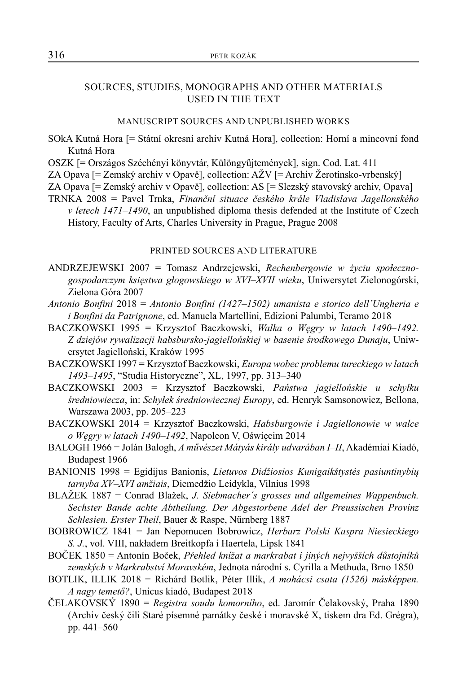## SOURCES, STUDIES, MONOGRAPHS AND OTHER MATERIALS USED IN THE TEXT

#### MANUSCRIPT SOURCES AND UNPUBLISHED WORKS

- SOkA Kutná Hora [= Státní okresní archiv Kutná Hora], collection: Horní a mincovní fond Kutná Hora
- OSZK [= Országos Széchényi könyvtár, Különgyűjtemények], sign. Cod. Lat. 411
- ZA Opava [= Zemský archiv v Opavě], collection: AŽV [= Archiv Žerotínsko-vrbenský]
- ZA Opava [= Zemský archiv v Opavě], collection: AS [= Slezský stavovský archiv, Opava]
- TRNKA 2008 = Pavel Trnka, *Finanční situace českého krále Vladislava Jagellonského v letech 1471–1490*, an unpublished diploma thesis defended at the Institute of Czech History, Faculty of Arts, Charles University in Prague, Prague 2008

#### PRINTED SOURCES AND LITERATURE

- ANDRZEJEWSKI 2007 = Tomasz Andrzejewski, *Rechenbergowie w życiu społecznogospodarczym księstwa gƚogowskiego w XVI–XVII wieku*, Uniwersytet Zielonogórski, Zielona Góra 2007
- *Antonio Bonfini* 2018 = *Antonio Bonfini (1427–1502) umanista e storico dell´Ungheria e i Bonfini da Patrignone*, ed. Manuela Martellini, Edizioni Palumbi, Teramo 2018
- BACZKOWSKI 1995 = Krzysztof Baczkowski, *Walka o Węgry w latach 1490–1492. Z dziejów rywalizacji habsbursko-jagiellońskiej w basenie środkowego Dunaju*, Uniwersytet Jagielloński, Kraków 1995
- BACZKOWSKI 1997 = Krzysztof Baczkowski, *Europa wobec problemu tureckiego w latach 1493–1495*, "Studia Historyczne", XL, 1997, pp. 313–340
- BACZKOWSKI 2003 = Krzysztof Baczkowski, *Państwa jagiellońskie u schyłku średniowiecza*, in: *Schyłek średniowiecznej Europy*, ed. Henryk Samsonowicz, Bellona, Warszawa 2003, pp. 205–223
- BACZKOWSKI 2014 = Krzysztof Baczkowski, *Habsburgowie i Jagiellonowie w walce o Węgry w latach 1490–1492*, Napoleon V, Oświęcim 2014
- BALOGH 1966 = Jolán Balogh, *A művészet Mátyás király udvarában I–II*, Akadémiai Kiadó, Budapest 1966
- BANIONIS 1998 = Egidijus Banionis, *Lietuvos Didžiosios Kunigaikštystės pasiuntinybių tarnyba XV–XVI amžiais*, Diemedžio Leidykla, Vilnius 1998
- BLAŽEK 1887 = Conrad Blažek, *J. Siebmacher´s grosses und allgemeines Wappenbuch. Sechster Bande achte Abtheilung. Der Abgestorbene Adel der Preussischen Provinz Schlesien. Erster Theil*, Bauer & Raspe, Nürnberg 1887
- BOBROWICZ 1841 = Jan Nepomucen Bobrowicz, *Herbarz Polski Kaspra Niesieckiego S. J.*, vol. VIII, nakładem Breitkopfa i Haertela, Lipsk 1841
- BOČEK 1850 = Antonín Boček, *Přehled knížat a markrabat i jiných nejvyšších důstojníků zemských v Markrabství Moravském*, Jednota národní s. Cyrilla a Methuda, Brno 1850
- BOTLIK, ILLIK 2018 = Richárd Botlik, Péter Illik, *A mohácsi csata (1526) másképpen. A nagy temető?*, Unicus kiadó, Budapest 2018
- ČELAKOVSKÝ 1890 = *Registra soudu komorního*, ed. Jaromír Čelakovský, Praha 1890 (Archiv český čili Staré písemné památky české i moravské X, tiskem dra Ed. Grégra), pp. 441–560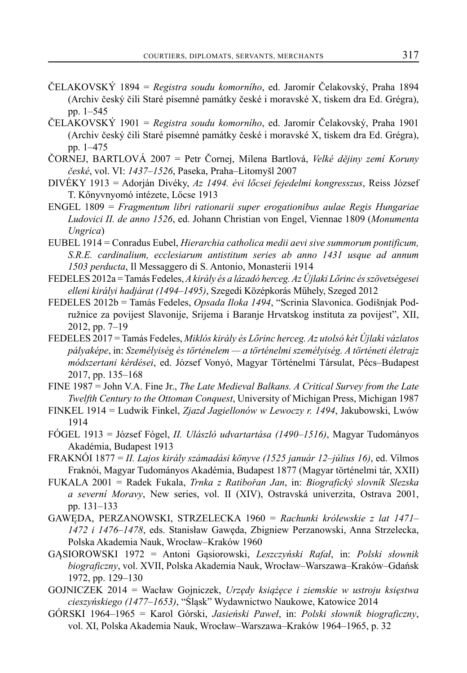- ČELAKOVSKÝ 1894 = *Registra soudu komorního*, ed. Jaromír Čelakovský, Praha 1894 (Archiv český čili Staré písemné památky české i moravské X, tiskem dra Ed. Grégra), pp. 1–545
- ČELAKOVSKÝ 1901 = *Registra soudu komorního*, ed. Jaromír Čelakovský, Praha 1901 (Archiv český čili Staré písemné památky české i moravské X, tiskem dra Ed. Grégra), pp. 1–475
- ČORNEJ, BARTLOVÁ 2007 = Petr Čornej, Milena Bartlová, *Velké dějiny zemí Koruny české*, vol. VI: *1437–1526*, Paseka, Praha–Litomyšl 2007
- DIVÉKY 1913 = Adorján Divéky, *Az 1494. évi lőcsei fejedelmi kongresszus*, Reiss József T. Kőnyvnyomó intézete, Lőcse 1913
- ENGEL 1809 = *Fragmentum libri rationarii super erogationibus aulae Regis Hungariae Ludovici II. de anno 1526*, ed. Johann Christian von Engel, Viennae 1809 (*Monumenta Ungrica*)
- EUBEL 1914 = Conradus Eubel, *Hierarchia catholica medii aevi sive summorum pontificum, S.R.E. cardinalium, ecclesiarum antistitum series ab anno 1431 usque ad annum 1503 perducta*, Il Messaggero di S. Antonio, Monasterii 1914
- FEDELES 2012a = Tamás Fedeles, *A király és a lázadó herceg. Az Újlaki Lőrinc és szövetségesei elleni királyi hadjárat (1494–1495)*, Szegedi Középkorás Műhely, Szeged 2012
- FEDELES 2012b = Tamás Fedeles, *Opsada Iloka 1494*, "Scrinia Slavonica. Godišnjak Podružnice za povijest Slavonije, Srijema i Baranje Hrvatskog instituta za povijest", XII, 2012, pp. 7–19
- FEDELES 2017 = Tamás Fedeles, *Miklós király és Lőrinc herceg. Az utolsó két Újlaki vázlatos pályaképe*, in: *Személyiség és történelem — a történelmi személyiség. A történeti életrajz módszertani kérdései*, ed. József Vonyó, Magyar Történelmi Társulat, Pécs–Budapest 2017, pp. 135–168
- FINE 1987 = John V.A. Fine Jr., *The Late Medieval Balkans. A Critical Survey from the Late Twelfth Century to the Ottoman Conquest*, University of Michigan Press, Michigan 1987
- FINKEL 1914 = Ludwik Finkel, *Zjazd Jagiellonów w Lewoczy r. 1494*, Jakubowski, Lwów 1914
- FÓGEL 1913 = József Fógel, *II. Ulászló udvartartása (1490–1516)*, Magyar Tudományos Akadémia, Budapest 1913
- FRAKNÓI 1877 = *II. Lajos király számadási könyve (1525 január 12–július 16)*, ed. Vilmos Fraknói, Magyar Tudományos Akadémia, Budapest 1877 (Magyar történelmi tár, XXII)
- FUKALA 2001 = Radek Fukala, *Trnka z Ratibořan Jan*, in: *Biografický slovník Slezska a severní Moravy*, New series, vol. II (XIV), Ostravská univerzita, Ostrava 2001, pp. 131–133
- GAWĘDA, PERZANOWSKI, STRZELECKA 1960 = *Rachunki królewskie z lat 1471– 1472 i 1476–1478*, eds. Stanisław Gawęda, Zbigniew Perzanowski, Anna Strzelecka, Polska Akademia Nauk, Wrocław–Kraków 1960
- GĄSIOROWSKI 1972 = Antoni Gąsiorowski, Leszczyński Rafał, in: Polski słownik *biograficzny*, vol. XVII, Polska Akademia Nauk, Wrocław–Warszawa–Kraków–Gdańsk 1972, pp. 129–130
- GOJNICZEK 2014 = Wacław Gojniczek, *Urzędy książęce i ziemskie w ustroju księstwa cieszyńskiego (1477–1653)*, "Śląsk" Wydawnictwo Naukowe, Katowice 2014
- GÓRSKI 1964–1965 = Karol Górski, *Jasieński Paweł*, in: *Polski sƚownik biograficzny*, vol. XI, Polska Akademia Nauk, Wrocław–Warszawa–Kraków 1964–1965, p. 32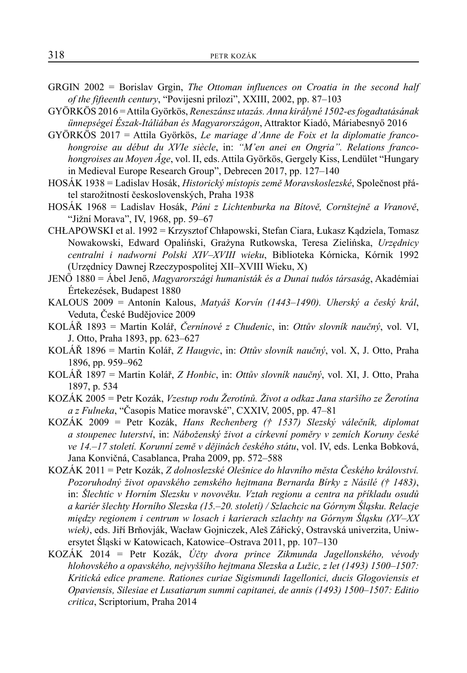- GRGIN 2002 = Borislav Grgin, *The Ottoman influences on Croatia in the second half of the fifteenth century*, "Povijesni prilozi", XXIII, 2002, pp. 87–103
- GYÖRKÖS 2016 = Attila Györkös, *Reneszánsz utazás. Anna királyné 1502-es fogadtatásának ünnepségei Észak-Itáliában és Magyarországon*, Attraktor Kiadó, Máriabesnyő 2016
- GYÖRKÖS 2017 = Attila Györkös, *Le mariage d'Anne de Foix et la diplomatie francohongroise au début du XVIe siècle*, in: *"M'en anei en Ongria". Relations francohongroises au Moyen Âge*, vol. II, eds. Attila Györkös, Gergely Kiss, Lendület "Hungary in Medieval Europe Research Group", Debrecen 2017, pp. 127–140
- HOSÁK 1938 = Ladislav Hosák, *Historický místopis země Moravskoslezské*, Společnost přátel starožitností československých, Praha 1938
- HOSÁK 1968 = Ladislav Hosák, *Páni z Lichtenburka na Bítově, Cornštejně a Vranově*, "Jižní Morava", IV, 1968, pp. 59–67
- CHŁAPOWSKI et al. 1992 = Krzysztof Chłapowski, Stefan Ciara, Łukasz Kądziela, Tomasz Nowakowski, Edward Opaliński, Grażyna Rutkowska, Teresa Zielińska, *Urzędnicy centralni i nadworni Polski XIV–XVIII wieku*, Biblioteka Kórnicka, Kórnik 1992 (Urzędnicy Dawnej Rzeczypospolitej XII–XVIII Wieku, X)
- JENŐ 1880 = Ábel Jenő, *Magyarországi humanisták és a Dunai tudós társaság*, Akadémiai Értekezések, Budapest 1880
- KALOUS 2009 = Antonín Kalous, *Matyáš Korvín (1443–1490). Uherský a český král*, Veduta, České Budějovice 2009
- KOLÁŘ 1893 = Martin Kolář, *Černínové z Chudenic*, in: *Ottův slovník naučný*, vol. VI, J. Otto, Praha 1893, pp. 623–627
- KOLÁŘ 1896 = Martin Kolář, *Z Haugvic*, in: *Ottův slovník naučný*, vol. X, J. Otto, Praha 1896, pp. 959–962
- KOLÁŘ 1897 = Martin Kolář, *Z Honbic*, in: *Ottův slovník naučný*, vol. XI, J. Otto, Praha 1897, p. 534
- KOZÁK 2005 = Petr Kozák, *Vzestup rodu Žerotínů. Život a odkaz Jana staršího ze Žerotína a z Fulneka*, "Časopis Matice moravské", CXXIV, 2005, pp. 47–81
- KOZÁK 2009 = Petr Kozák, *Hans Rechenberg († 1537) Slezský válečník, diplomat a stoupenec luterství*, in: *Náboženský život a církevní poměry v zemích Koruny české ve 14.–17 století. Korunní země v dějinách českého státu*, vol. IV, eds. Lenka Bobková, Jana Konvičná, Casablanca, Praha 2009, pp. 572–588
- KOZÁK 2011 = Petr Kozák, *Z dolnoslezské Olešnice do hlavního města Českého království. Pozoruhodný život opavského zemského hejtmana Bernarda Bírky z Násilé († 1483)*, in: *Šlechtic v Horním Slezsku v novověku. Vztah regionu a centra na příkladu osudů a kariér šlechty Horního Slezska (15.–20. století) / Szlachcic na Górnym Śląsku. Relacje między regionem i centrum w losach i karierach szlachty na Górnym Śląsku (XV–XX wiek)*, eds. Jiří Brňovják, Wacław Gojniczek, Aleš Zářický, Ostravská univerzita, Uniwersytet Śląski w Katowicach, Katowice–Ostrava 2011, pp. 107–130
- KOZÁK 2014 = Petr Kozák, *Účty dvora prince Zikmunda Jagellonského, vévody hlohovského a opavského, nejvyššího hejtmana Slezska a Lužic, z let (1493) 1500–1507: Kritická edice pramene. Rationes curiae Sigismundi Iagellonici, ducis Glogoviensis et Opaviensis, Silesiae et Lusatiarum summi capitanei, de annis (1493) 1500–1507: Editio critica*, Scriptorium, Praha 2014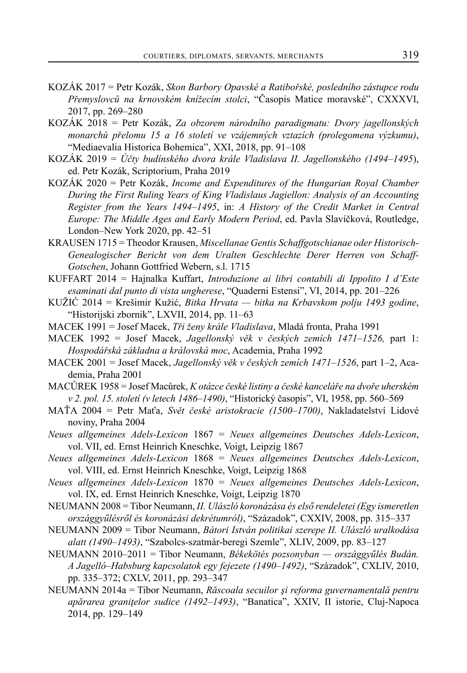- KOZÁK 2017 = Petr Kozák, *Skon Barbory Opavské a Ratibořské, posledního zástupce rodu Přemyslovců na krnovském knížecím stolci*, "Časopis Matice moravské", CXXXVI, 2017, pp. 269–280
- KOZÁK 2018 = Petr Kozák, *Za obzorem národního paradigmatu: Dvory jagellonských monarchů přelomu 15 a 16 století ve vzájemných vztazích (prolegomena výzkumu)*, "Mediaevalia Historica Bohemica", XXI, 2018, pp. 91–108
- KOZÁK 2019 = *Účty budínského dvora krále Vladislava II. Jagellonského (1494–1495*), ed. Petr Kozák, Scriptorium, Praha 2019
- KOZÁK 2020 = Petr Kozák, *Income and Expenditures of the Hungarian Royal Chamber During the First Ruling Years of King Vladislaus Jagiellon: Analysis of an Accounting Register from the Years 1494–1495*, in: *A History of the Credit Market in Central Europe: The Middle Ages and Early Modern Period*, ed. Pavla Slavíčková, Routledge, London–New York 2020, pp. 42–51
- KRAUSEN 1715 = Theodor Krausen, *Miscellanae Gentis Schaffgotschianae oder Historisch-Genealogischer Bericht von dem Uralten Geschlechte Derer Herren von Schaff-Gotschen*, Johann Gottfried Webern, s.l. 1715
- KUFFART 2014 = Hajnalka Kuffart, *Introduzione ai libri contabili di Ippolito I d'Este esaminati dal punto di vista ungherese*, "Quaderni Estensi", VI, 2014, pp. 201–226
- KUŽIĆ 2014 = Krešimir Kužić, *Bitka Hrvata bitka na Krbavskom polju 1493 godine*, "Historijski zbornik", LXVII, 2014, pp. 11–63
- MACEK 1991 = Josef Macek, *Tři ženy krále Vladislava*, Mladá fronta, Praha 1991
- MACEK 1992 = Josef Macek, *Jagellonský věk v českých zemích 1471–1526,* part 1: *Hospodářská základna a královská moc*, Academia, Praha 1992
- MACEK 2001 = Josef Macek, *Jagellonský věk v českých zemích 1471–1526*, part 1–2, Academia, Praha 2001
- MACŮREK 1958 = Josef Macůrek, *K otázce české listiny a české kanceláře na dvoře uherském v 2. pol. 15. století (v letech 1486–1490)*, "Historický časopis", VI, 1958, pp. 560–569
- MAŤA 2004 = Petr Maťa, *Svět české aristokracie (1500–1700)*, Nakladatelství Lidové noviny, Praha 2004
- *Neues allgemeines Adels-Lexicon* 1867 = *Neues allgemeines Deutsches Adels-Lexicon*, vol. VII, ed. Ernst Heinrich Kneschke, Voigt, Leipzig 1867
- *Neues allgemeines Adels-Lexicon* 1868 = *Neues allgemeines Deutsches Adels-Lexicon*, vol. VIII, ed. Ernst Heinrich Kneschke, Voigt, Leipzig 1868
- *Neues allgemeines Adels-Lexicon* 1870 = *Neues allgemeines Deutsches Adels-Lexicon*, vol. IX, ed. Ernst Heinrich Kneschke, Voigt, Leipzig 1870
- NEUMANN 2008 = Tibor Neumann, *II. Ulászló koronázása és első rendeletei (Egy ismeretlen országgyűlésről és koronázási dekrétumról)*, "Századok", CXXIV, 2008, pp. 315–337
- NEUMANN 2009 = Tibor Neumann, *Bátori István politikai szerepe II. Ulászló uralkodása alatt (1490–1493)*, "Szabolcs-szatmár-beregi Szemle", XLIV, 2009, pp. 83–127
- NEUMANN 2010–2011 = Tibor Neumann, *Békekötés pozsonyban országgyűlés Budán. A Jagelló–Habsburg kapcsolatok egy fejezete (1490–1492)*, "Századok", CXLIV, 2010, pp. 335–372; CXLV, 2011, pp. 293–347
- NEUMANN 2014a = Tibor Neumann, *Răscoala secuilor şi reforma guvernamentală pentru apărarea graniţelor sudice (1492–1493)*, "Banatica", XXIV, II istorie, Cluj-Napoca 2014, pp. 129–149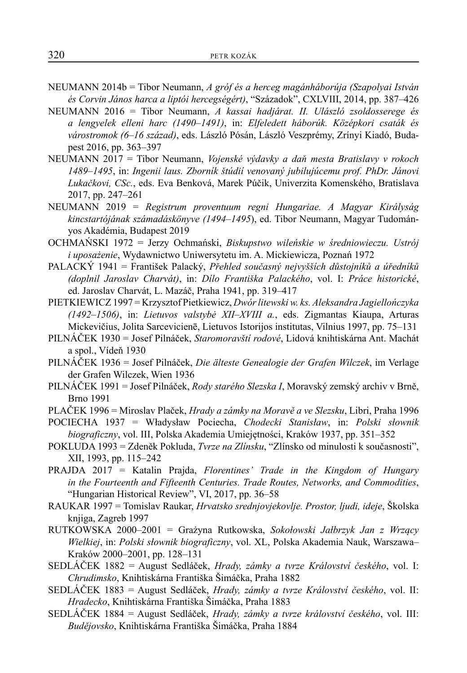- NEUMANN 2014b = Tibor Neumann, *A gróf és a herceg magánháborúja (Szapolyai István és Corvin János harca a liptói hercegségért)*, "Századok", CXLVIII, 2014, pp. 387–426
- NEUMANN 2016 = Tibor Neumann, *A kassai hadjárat. II. Ulászló zsoldosserege és a lengyelek elleni harc (1490–1491)*, in: *Elfeledett háborúk. Középkori csaták és várostromok (6–16 század)*, eds. László Pósán, László Veszprémy, Zrínyi Kiadó, Budapest 2016, pp. 363–397
- NEUMANN 2017 = Tibor Neumann, *Vojenské výdavky a daň mesta Bratislavy v rokoch 1489–1495*, in: *Ingenii laus. Zborník štúdií venovaný jubilujúcemu prof. PhDr. Jánovi Lukačkovi, CSc.*, eds. Eva Benková, Marek Púčik, Univerzita Komenského, Bratislava 2017, pp. 247–261
- NEUMANN 2019 = *Registrum proventuum regni Hungariae. A Magyar Királyság kincstartójának számadáskönyve (1494–1495*), ed. Tibor Neumann, Magyar Tudományos Akadémia, Budapest 2019
- OCHMAŃSKI 1972 = Jerzy Ochmański, *Biskupstwo wileńskie w średniowieczu. Ustrój i uposażenie*, Wydawnictwo Uniwersytetu im. A. Mickiewicza, Poznań 1972
- PALACKÝ 1941 = František Palacký, *Přehled současný nejvyšších důstojníků a úředníků (doplnil Jaroslav Charvát)*, in: *Dílo Františka Palackého*, vol. I: *Práce historické*, ed. Jaroslav Charvát, L. Mazáč, Praha 1941, pp. 319–417
- PIETKIEWICZ 1997 = Krzysztof Pietkiewicz, *Dwór litewski w. ks. Aleksandra Jagiellończyka (1492–1506)*, in: *Lietuvos valstybė XII–XVIII a.*, eds. Zigmantas Kiaupa, Arturas Mickevičius, Jolita Sarcevicienē, Lietuvos Istorijos institutas, Vilnius 1997, pp. 75–131
- PILNÁČEK 1930 = Josef Pilnáček, *Staromoravští rodové*, Lidová knihtiskárna Ant. Machát a spol., Vídeň 1930
- PILNÁČEK 1936 = Josef Pilnáček, *Die älteste Genealogie der Grafen Wilczek*, im Verlage der Grafen Wilczek, Wien 1936
- PILNÁČEK 1991 = Josef Pilnáček, *Rody starého Slezska I*, Moravský zemský archiv v Brně, Brno 1991
- PLAČEK 1996 = Miroslav Plaček, *Hrady a zámky na Moravě a ve Slezsku*, Libri, Praha 1996
- POCIECHA 1937 = Władysław Pociecha, *Chodecki Stanisław*, in: *Polski sƚownik biograficzny*, vol. III, Polska Akademia Umiejętności, Kraków 1937, pp. 351–352
- POKLUDA 1993 = Zdeněk Pokluda, *Tvrze na Zlínsku*, "Zlínsko od minulosti k současnosti", XII, 1993, pp. 115–242
- PRAJDA 2017 = Katalin Prajda, *Florentines' Trade in the Kingdom of Hungary in the Fourteenth and Fifteenth Centuries. Trade Routes, Networks, and Commodities*, "Hungarian Historical Review", VI, 2017, pp. 36–58
- RAUKAR 1997 = Tomislav Raukar, *Hrvatsko srednjovjekovlje. Prostor, ljudi, ideje*, Školska knjiga, Zagreb 1997
- RUTKOWSKA 2000–2001 = Grażyna Rutkowska, *Sokoƚowski Jaƚbrzyk Jan z Wrzący Wielkiej*, in: *Polski sƚownik biograficzny*, vol. XL, Polska Akademia Nauk, Warszawa– Kraków 2000–2001, pp. 128–131
- SEDLÁČEK 1882 = August Sedláček, *Hrady, zámky a tvrze Království českého*, vol. I: *Chrudimsko*, Knihtiskárna Františka Šimáčka, Praha 1882
- SEDLÁČEK 1883 = August Sedláček, *Hrady, zámky a tvrze Království českého*, vol. II: *Hradecko*, Knihtiskárna Františka Šimáčka, Praha 1883
- SEDLÁČEK 1884 = August Sedláček, *Hrady, zámky a tvrze království českého*, vol. III: *Budějovsko*, Knihtiskárna Františka Šimáčka, Praha 1884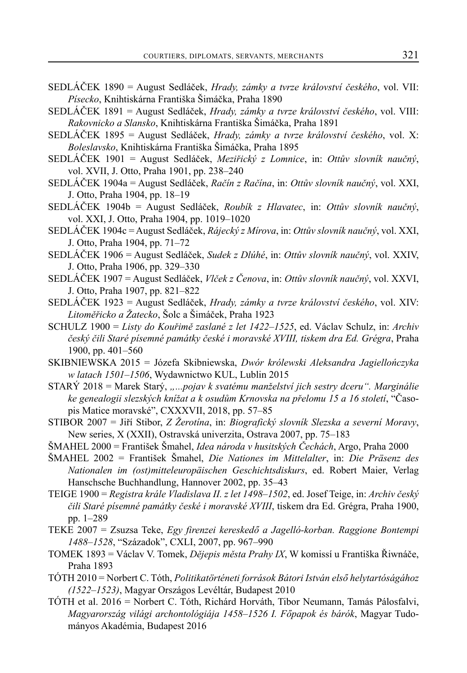- SEDLÁČEK 1890 = August Sedláček, *Hrady, zámky a tvrze království českého*, vol. VII: *Písecko*, Knihtiskárna Františka Šimáčka, Praha 1890
- SEDLÁČEK 1891 = August Sedláček, *Hrady, zámky a tvrze království českého*, vol. VIII: *Rakovnicko a Slansko*, Knihtiskárna Františka Šimáčka, Praha 1891
- SEDLÁČEK 1895 = August Sedláček, *Hrady, zámky a tvrze království českého*, vol. X: *Boleslavsko*, Knihtiskárna Františka Šimáčka, Praha 1895
- SEDLÁČEK 1901 = August Sedláček, *Meziřický z Lomnice*, in: *Ottův slovník naučný*, vol. XVII, J. Otto, Praha 1901, pp. 238–240
- SEDLÁČEK 1904a = August Sedláček, *Račín z Račína*, in: *Ottův slovník naučný*, vol. XXI, J. Otto, Praha 1904, pp. 18–19
- SEDLÁČEK 1904b = August Sedláček, *Roubík z Hlavatec*, in: *Ottův slovník naučný*, vol. XXI, J. Otto, Praha 1904, pp. 1019–1020
- SEDLÁČEK 1904c = August Sedláček, *Rájecký z Mírova*, in: *Ottův slovník naučný*, vol. XXI, J. Otto, Praha 1904, pp. 71–72
- SEDLÁČEK 1906 = August Sedláček, *Sudek z Dlúhé*, in: *Ottův slovník naučný*, vol. XXIV, J. Otto, Praha 1906, pp. 329–330
- SEDLÁČEK 1907 = August Sedláček, *Vlček z Čenova*, in: *Ottův slovník naučný*, vol. XXVI, J. Otto, Praha 1907, pp. 821–822
- SEDLÁČEK 1923 = August Sedláček, *Hrady, zámky a tvrze království českého*, vol. XIV: *Litoměřicko a Žatecko*, Šolc a Šimáček, Praha 1923
- SCHULZ 1900 = *Listy do Kouřimě zaslané z let 1422–1525*, ed. Václav Schulz, in: *Archiv český čili Staré písemné památky české i moravské XVIII, tiskem dra Ed. Grégra*, Praha 1900, pp. 401–560
- SKIBNIEWSKA 2015 = Józefa Skibniewska, *Dwór królewski Aleksandra Jagiellończyka w latach 1501–1506*, Wydawnictwo KUL, Lublin 2015
- STARÝ 2018 = Marek Starý, *"...pojav k svatému manželství jich sestry dceru". Marginálie ke genealogii slezských knížat a k osudům Krnovska na přelomu 15 a 16 století*, "Časopis Matice moravské", CXXXVII, 2018, pp. 57–85
- STIBOR 2007 = Jiří Stibor, *Z Žerotína*, in: *Biografický slovník Slezska a severní Moravy*, New series, X (XXII), Ostravská univerzita, Ostrava 2007, pp. 75–183
- ŠMAHEL 2000 = František Šmahel, *Idea národa v husitských Čechách*, Argo, Praha 2000
- ŠMAHEL 2002 = František Šmahel, *Die Nationes im Mittelalter*, in: *Die Präsenz des Nationalen im (ost)mitteleuropäischen Geschichtsdiskurs*, ed. Robert Maier, Verlag Hanschsche Buchhandlung, Hannover 2002, pp. 35–43
- TEIGE 1900 = *Registra krále Vladislava II. z let 1498–1502*, ed. Josef Teige, in: *Archiv český čili Staré písemné památky české i moravské XVIII*, tiskem dra Ed. Grégra, Praha 1900, pp. 1–289
- TEKE 2007 = Zsuzsa Teke, *Egy firenzei kereskedő a Jagelló-korban. Raggione Bontempi 1488–1528*, "Századok", CXLI, 2007, pp. 967–990
- TOMEK 1893 = Václav V. Tomek, *Dějepis města Prahy IX*, W komissí u Františka Řiwnáče, Praha 1893
- TÓTH 2010 = Norbert C. Tóth, *Politikatörténeti források Bátori István első helytartóságához (1522–1523)*, Magyar Országos Levéltár, Budapest 2010
- TÓTH et al. 2016 = Norbert C. Tóth, Richárd Horváth, Tibor Neumann, Tamás Pálosfalvi, *Magyarország világi archontológiája 1458–1526 I. Főpapok és bárók*, Magyar Tudományos Akadémia, Budapest 2016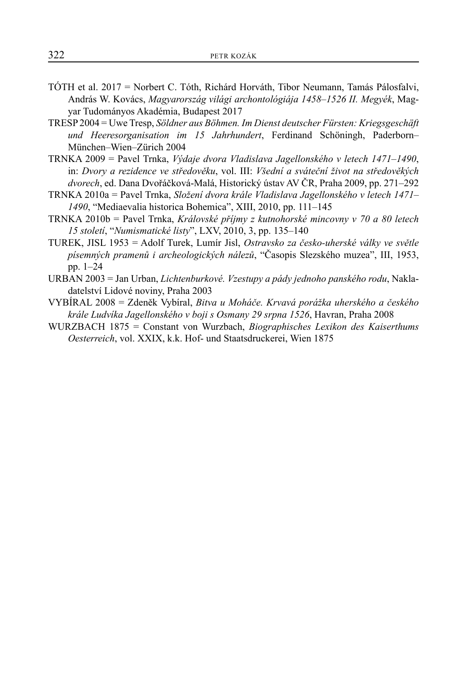- TÓTH et al. 2017 = Norbert C. Tóth, Richárd Horváth, Tibor Neumann, Tamás Pálosfalvi, András W. Kovács, *Magyarország világi archontológiája 1458–1526 II. Megyék*, Magyar Tudományos Akadémia, Budapest 2017
- TRESP 2004 = Uwe Tresp, *Söldner aus Böhmen. Im Dienst deutscher Fürsten: Kriegsgeschäft und Heeresorganisation im 15 Jahrhundert*, Ferdinand Schöningh, Paderborn– München–Wien–Zürich 2004
- TRNKA 2009 = Pavel Trnka, *Výdaje dvora Vladislava Jagellonského v letech 1471–1490*, in: *Dvory a rezidence ve středověku*, vol. III: *Všední a sváteční život na středověkých dvorech*, ed. Dana Dvořáčková-Malá, Historický ústav AV ČR, Praha 2009, pp. 271–292
- TRNKA 2010a = Pavel Trnka, *Složení dvora krále Vladislava Jagellonského v letech 1471– 1490*, "Mediaevalia historica Bohemica", XIII, 2010, pp. 111–145
- TRNKA 2010b = Pavel Trnka, *Královské příjmy z kutnohorské mincovny v 70 a 80 letech 15 století*, "*Numismatické listy*", LXV, 2010, 3, pp. 135–140
- TUREK, JISL 1953 = Adolf Turek, Lumír Jisl, *Ostravsko za česko-uherské války ve světle písemných pramenů i archeologických nálezů*, "Časopis Slezského muzea", III, 1953, pp. 1–24
- URBAN 2003 = Jan Urban, *Lichtenburkové. Vzestupy a pády jednoho panského rodu*, Nakladatelství Lidové noviny, Praha 2003
- VYBÍRAL 2008 = Zdeněk Vybíral, *Bitva u Moháče. Krvavá porážka uherského a českého krále Ludvíka Jagellonského v boji s Osmany 29 srpna 1526*, Havran, Praha 2008
- WURZBACH 1875 = Constant von Wurzbach, *Biographisches Lexikon des Kaiserthums Oesterreich*, vol. XXIX, k.k. Hof- und Staatsdruckerei, Wien 1875